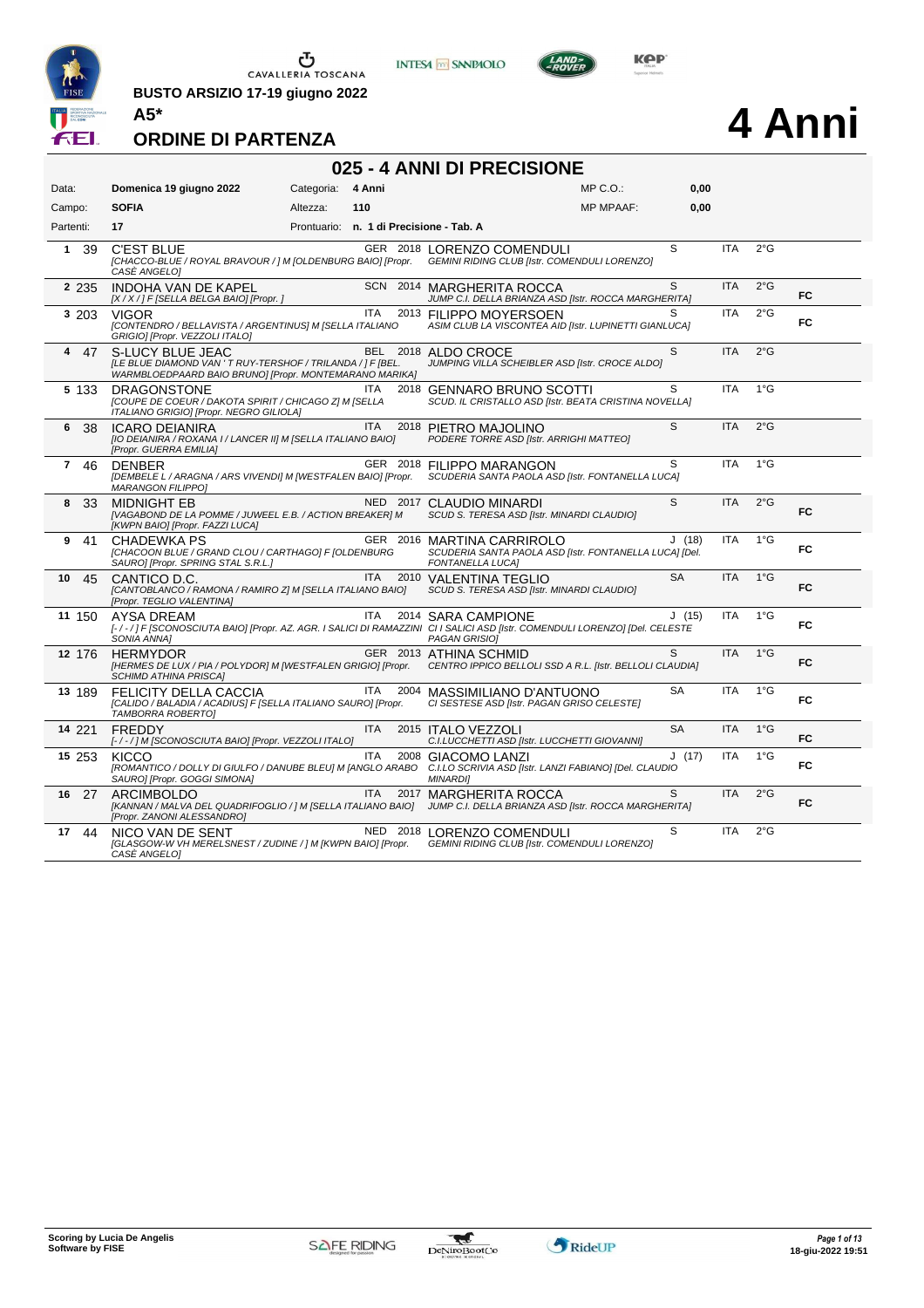

**BUSTO ARSIZIO 17-19 giugno 2022 A5\***





# **4 Anni**

#### **ORDINE DI PARTENZA**

#### **025 - 4 ANNI DI PRECISIONE**

| Data:              | Domenica 19 giugno 2022                                                                                                                  | Categoria: | 4 Anni                                  | MP C.O.:                                                                                                                                                            | 0,00      |            |               |           |
|--------------------|------------------------------------------------------------------------------------------------------------------------------------------|------------|-----------------------------------------|---------------------------------------------------------------------------------------------------------------------------------------------------------------------|-----------|------------|---------------|-----------|
| Campo:             | <b>SOFIA</b>                                                                                                                             | Altezza:   | 110                                     | <b>MP MPAAF:</b>                                                                                                                                                    | 0,00      |            |               |           |
| Partenti:          | 17                                                                                                                                       |            | Prontuario: n. 1 di Precisione - Tab. A |                                                                                                                                                                     |           |            |               |           |
| 1 39               | <b>C'EST BLUE</b><br>[CHACCO-BLUE / ROYAL BRAVOUR / ] M [OLDENBURG BAIO] [Propr.<br>CASE ANGELOI                                         |            |                                         | GER 2018 LORENZO COMENDULI<br>GEMINI RIDING CLUB [Istr. COMENDULI LORENZO]                                                                                          | S         | <b>ITA</b> | $2^{\circ}$ G |           |
| 2 2 3 5            | INDOHA VAN DE KAPEL<br>[X / X / ] F [SELLA BELGA BAIO] [Propr. ]                                                                         |            |                                         | SCN 2014 MARGHERITA ROCCA<br>JUMP C.I. DELLA BRIANZA ASD [Istr. ROCCA MARGHERITA]                                                                                   | S         | <b>ITA</b> | $2^{\circ}$ G | <b>FC</b> |
| 3 203              | <b>VIGOR</b><br>[CONTENDRO / BELLAVISTA / ARGENTINUS] M [SELLA ITALIANO<br>GRIGIO] [Propr. VEZZOLI ITALO]                                |            | <b>ITA</b>                              | 2013 FILIPPO MOYERSOEN<br>ASIM CLUB LA VISCONTEA AID [Istr. LUPINETTI GIANLUCA]                                                                                     | S         | <b>ITA</b> | $2^{\circ}$ G | <b>FC</b> |
| 47<br>4            | S-LUCY BLUE JEAC<br>[LE BLUE DIAMOND VAN 'T RUY-TERSHOF / TRILANDA / ] F [BEL.<br>WARMBLOEDPAARD BAIO BRUNO] [Propr. MONTEMARANO MARIKA] |            |                                         | BEL 2018 ALDO CROCE<br>JUMPING VILLA SCHEIBLER ASD [Istr. CROCE ALDO]                                                                                               | S         | <b>ITA</b> | $2^{\circ}$ G |           |
| 5 133              | <b>DRAGONSTONE</b><br>[COUPE DE COEUR / DAKOTA SPIRIT / CHICAGO Z] M [SELLA<br>ITALIANO GRIGIO] [Propr. NEGRO GILIOLA]                   |            | ITA                                     | 2018 GENNARO BRUNO SCOTTI<br>SCUD. IL CRISTALLO ASD [Istr. BEATA CRISTINA NOVELLA]                                                                                  | S         | <b>ITA</b> | $1^{\circ}$ G |           |
| 6<br>38            | <b>ICARO DEIANIRA</b><br>[IO DEIANIRA / ROXANA I / LANCER II] M [SELLA ITALIANO BAIO]<br>[Propr. GUERRA EMILIA]                          |            | <b>ITA</b>                              | 2018 PIETRO MAJOLINO<br>PODERE TORRE ASD [Istr. ARRIGHI MATTEO]                                                                                                     | S         | <b>ITA</b> | $2^{\circ}$ G |           |
| $\mathbf{7}$<br>46 | <b>DENBER</b><br>[DEMBELE L / ARAGNA / ARS VIVENDI] M [WESTFALEN BAIO] [Propr.<br><b>MARANGON FILIPPOI</b>                               |            |                                         | GER 2018 FILIPPO MARANGON<br>SCUDERIA SANTA PAOLA ASD [Istr. FONTANELLA LUCA]                                                                                       | S         | <b>ITA</b> | $1^{\circ}$ G |           |
| 8<br>-33           | <b>MIDNIGHT EB</b><br>[VAGABOND DE LA POMME / JUWEEL E.B. / ACTION BREAKER] M<br>[KWPN BAIO] [Propr. FAZZI LUCA]                         |            |                                         | NED 2017 CLAUDIO MINARDI<br>SCUD S. TERESA ASD [Istr. MINARDI CLAUDIO]                                                                                              | S.        | <b>ITA</b> | $2^{\circ}$ G | <b>FC</b> |
| 41<br>9            | <b>CHADEWKA PS</b><br>[CHACOON BLUE / GRAND CLOU / CARTHAGO] F [OLDENBURG<br>SAURO] [Propr. SPRING STAL S.R.L.]                          |            | GER 2016                                | <b>MARTINA CARRIROLO</b><br>SCUDERIA SANTA PAOLA ASD [Istr. FONTANELLA LUCA] [Del.<br><b>FONTANELLA LUCA]</b>                                                       | J(18)     | <b>ITA</b> | $1^{\circ}$ G | FC        |
| 10<br>45           | CANTICO D.C.<br>[CANTOBLANCO / RAMONA / RAMIRO Z] M [SELLA ITALIANO BAIO]<br>[Propr. TEGLIO VALENTINA]                                   |            | <b>ITA</b><br>2010                      | <b>VALENTINA TEGLIO</b><br>SCUD S. TERESA ASD [Istr. MINARDI CLAUDIO]                                                                                               | <b>SA</b> | <b>ITA</b> | $1^{\circ}$ G | FC        |
| 11 150             | AYSA DREAM<br>SONIA ANNA]                                                                                                                |            | <b>ITA</b><br>2014                      | <b>SARA CAMPIONE</b><br>[-/-/] F [SCONOSCIUTA BAIO] [Propr. AZ. AGR. I SALICI DI RAMAZZINI CI I SALICI ASD [Istr. COMENDULI LORENZO] [Del. CELESTE<br>PAGAN GRISIOI | J(15)     | <b>ITA</b> | $1^{\circ}$ G | FC.       |
| 12 176             | <b>HERMYDOR</b><br>[HERMES DE LUX / PIA / POLYDOR] M [WESTFALEN GRIGIO] [Propr.<br><b>SCHIMD ATHINA PRISCA]</b>                          |            |                                         | GER 2013 ATHINA SCHMID<br>CENTRO IPPICO BELLOLI SSD A R.L. [Istr. BELLOLI CLAUDIA]                                                                                  | S         | <b>ITA</b> | $1^{\circ}$ G | <b>FC</b> |
| 13 189             | FELICITY DELLA CACCIA<br>[CALIDO / BALADIA / ACADIUS] F [SELLA ITALIANO SAURO] [Propr.<br>TAMBORRA ROBERTOJ                              |            | ITA<br>2004                             | MASSIMILIANO D'ANTUONO<br>CI SESTESE ASD [Istr. PAGAN GRISO CELESTE]                                                                                                | SA        | <b>ITA</b> | $1^{\circ}$ G | FC        |
| 14 221             | <b>FREDDY</b><br>[-/-/] M [SCONOSCIUTA BAIO] [Propr. VEZZOLI ITALO]                                                                      |            | ITA                                     | 2015 ITALO VEZZOLI<br>C.I.LUCCHETTI ASD [Istr. LUCCHETTI GIOVANNI]                                                                                                  | <b>SA</b> | <b>ITA</b> | $1^{\circ}$ G | <b>FC</b> |
| 15 253             | KICCO<br>[ROMANTICO / DOLLY DI GIULFO / DANUBE BLEU] M [ANGLO ARABO<br>SAURO] [Propr. GOGGI SIMONA]                                      |            | <b>ITA</b><br>2008                      | <b>GIACOMO LANZI</b><br>C.I.LO SCRIVIA ASD [Istr. LANZI FABIANO] [Del. CLAUDIO<br><b>MINARDII</b>                                                                   | J(17)     | <b>ITA</b> | $1^{\circ}$ G | FC        |
| 27<br>16           | <b>ARCIMBOLDO</b><br>[KANNAN / MALVA DEL QUADRIFOGLIO / ] M [SELLA ITALIANO BAIO]<br>[Propr. ZANONI ALESSANDRO]                          |            | <b>ITA</b><br>2017                      | <b>MARGHERITA ROCCA</b><br>JUMP C.I. DELLA BRIANZA ASD [Istr. ROCCA MARGHERITA]                                                                                     | S         | <b>ITA</b> | $2^{\circ}$ G | FC        |
| 17<br>44           | NICO VAN DE SENT<br>[GLASGOW-W VH MERELSNEST / ZUDINE / ] M [KWPN BAIO] [Propr.<br>CASE ANGELO]                                          |            |                                         | NED 2018 LORENZO COMENDULI<br>GEMINI RIDING CLUB [Istr. COMENDULI LORENZO]                                                                                          | S         | <b>ITA</b> | $2^{\circ}$ G |           |

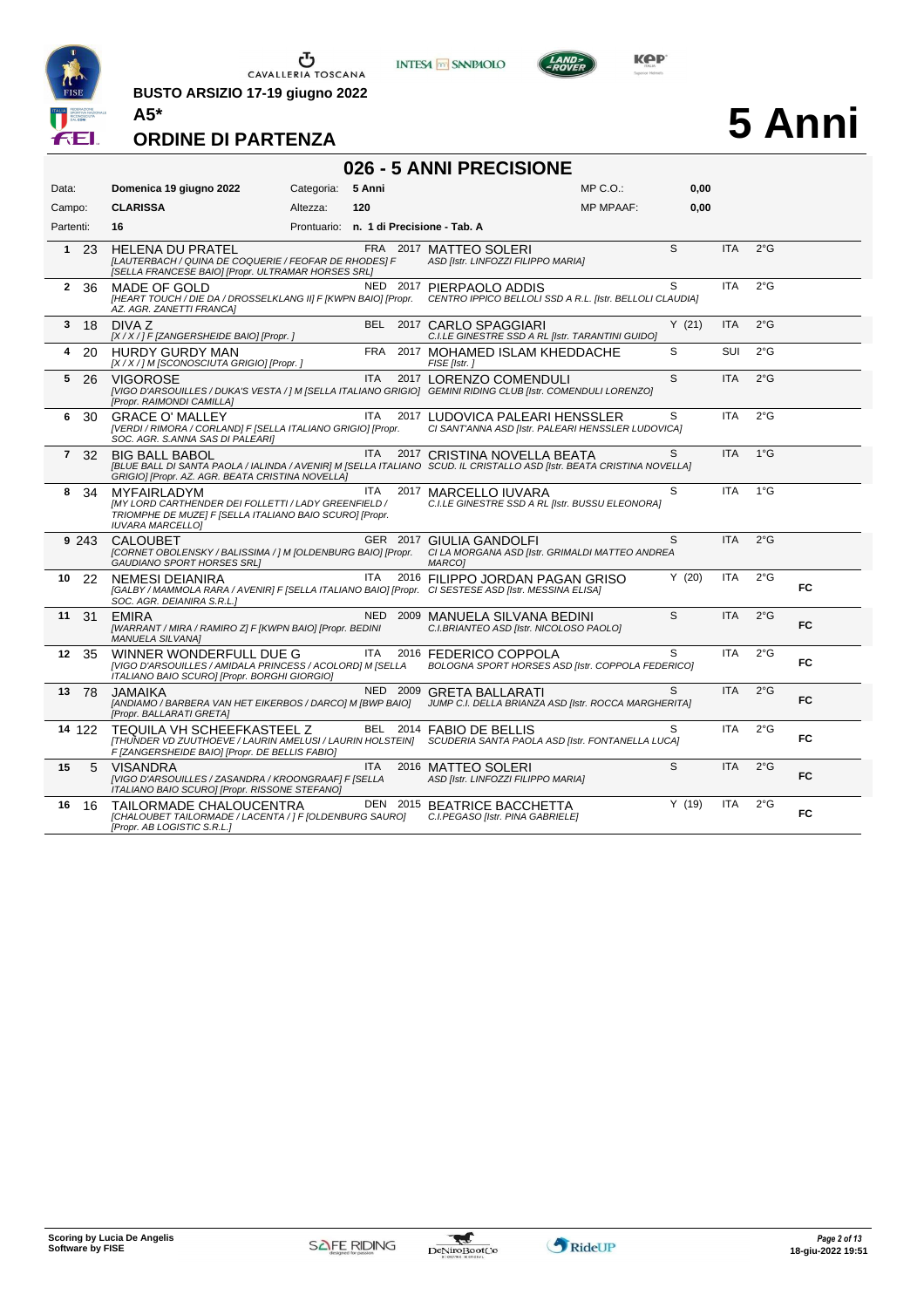

**BUSTO ARSIZIO 17-19 giugno 2022 A5\***





# **5 Anni**

|                | 026 - 5 ANNI PRECISIONE |                                                                                                                                                                                                    |            |            |      |                                                                                              |                  |       |            |               |           |  |  |
|----------------|-------------------------|----------------------------------------------------------------------------------------------------------------------------------------------------------------------------------------------------|------------|------------|------|----------------------------------------------------------------------------------------------|------------------|-------|------------|---------------|-----------|--|--|
| Data:          |                         | Domenica 19 giugno 2022                                                                                                                                                                            | Categoria: | 5 Anni     |      |                                                                                              | $MP C. O.$ :     | 0.00  |            |               |           |  |  |
| Campo:         |                         | <b>CLARISSA</b>                                                                                                                                                                                    | Altezza:   | 120        |      |                                                                                              | <b>MP MPAAF:</b> | 0,00  |            |               |           |  |  |
| Partenti:      |                         | 16                                                                                                                                                                                                 |            |            |      | Prontuario: n. 1 di Precisione - Tab. A                                                      |                  |       |            |               |           |  |  |
|                | $1\quad 23$             | <b>HELENA DU PRATEL</b><br>[LAUTERBACH / QUINA DE COQUERIE / FEOFAR DE RHODES] F<br>[SELLA FRANCESE BAIO] [Propr. ULTRAMAR HORSES SRL]                                                             |            |            |      | FRA 2017 MATTEO SOLERI<br>ASD [Istr. LINFOZZI FILIPPO MARIA]                                 |                  | S     | <b>ITA</b> | $2^{\circ}$ G |           |  |  |
| $\mathbf{2}$   | -36                     | MADE OF GOLD<br>[HEART TOUCH / DIE DA / DROSSELKLANG II] F [KWPN BAIO] [Propr.<br>AZ. AGR. ZANETTI FRANCAI                                                                                         |            | NED 2017   |      | PIERPAOLO ADDIS<br>CENTRO IPPICO BELLOLI SSD A R.L. [Istr. BELLOLI CLAUDIA]                  |                  | S     | <b>ITA</b> | $2^{\circ}$ G |           |  |  |
| 3              | 18                      | DIVA Z<br>[X / X / ] F [ZANGERSHEIDE BAIO] [Propr. ]                                                                                                                                               |            | BEL        |      | 2017 CARLO SPAGGIARI<br>C.I.LE GINESTRE SSD A RL [Istr. TARANTINI GUIDO]                     |                  | Y(21) | <b>ITA</b> | $2^{\circ}$ G |           |  |  |
| 4              | 20                      | <b>HURDY GURDY MAN</b><br>[X / X / ] M [SCONOSCIUTA GRIGIO] [Propr. ]                                                                                                                              |            | FRA        |      | 2017 MOHAMED ISLAM KHEDDACHE<br>FISE [Istr.]                                                 |                  | S     | SUI        | $2^{\circ}$ G |           |  |  |
| 5              | -26                     | <b>VIGOROSE</b><br>[VIGO D'ARSOUILLES / DUKA'S VESTA / ] M [SELLA ITALIANO GRIGIO] GEMINI RIDING CLUB [Istr. COMENDULI LORENZO]<br>[Propr. RAIMONDI CAMILLA]                                       |            | <b>ITA</b> |      | 2017 LORENZO COMENDULI                                                                       |                  | S     | <b>ITA</b> | $2^{\circ}$ G |           |  |  |
| 6.             | 30                      | GRACE O' MALLEY<br>[VERDI / RIMORA / CORLAND] F [SELLA ITALIANO GRIGIO] [Propr.<br>SOC. AGR. S.ANNA SAS DI PALEARI]                                                                                |            | <b>ITA</b> |      | 2017 LUDOVICA PALEARI HENSSLER<br>CI SANT'ANNA ASD [Istr. PALEARI HENSSLER LUDOVICA]         |                  | S     | <b>ITA</b> | $2^{\circ}$ G |           |  |  |
| $\overline{7}$ | 32                      | <b>BIG BALL BABOL</b><br>[BLUE BALL DI SANTA PAOLA / IALINDA / AVENIR] M [SELLA ITALIANO SCUD. IL CRISTALLO ASD [Istr. BEATA CRISTINA NOVELLA]<br>GRIGIO] [Propr. AZ. AGR. BEATA CRISTINA NOVELLA] |            | <b>ITA</b> |      | 2017 CRISTINA NOVELLA BEATA                                                                  |                  | S     | <b>ITA</b> | $1^{\circ}$ G |           |  |  |
| 8              | 34                      | <b>MYFAIRI ADYM</b><br><b>IMY LORD CARTHENDER DEI FOLLETTI / LADY GREENFIELD /</b><br>TRIOMPHE DE MUZE] F [SELLA ITALIANO BAIO SCURO] [Propr.<br><b>IUVARA MARCELLOI</b>                           |            | ITA.       |      | 2017 MARCELLO IUVARA<br>C.I.LE GINESTRE SSD A RL [Istr. BUSSU ELEONORA]                      |                  | S     | <b>ITA</b> | 1°G           |           |  |  |
|                | 9 243                   | <b>CALOUBET</b><br>[CORNET OBOLENSKY / BALISSIMA / ] M [OLDENBURG BAIO] [Propr.<br>GAUDIANO SPORT HORSES SRL]                                                                                      |            |            |      | GER 2017 GIULIA GANDOLFI<br>CI LA MORGANA ASD [Istr. GRIMALDI MATTEO ANDREA<br><b>MARCO1</b> |                  | S     | <b>ITA</b> | $2^{\circ}$ G |           |  |  |
| 10             | 22                      | <b>NEMESI DEIANIRA</b><br>[GALBY / MAMMOLA RARA / AVENIR] F [SELLA ITALIANO BAIO] [Propr. CI SESTESE ASD [Istr. MESSINA ELISA]<br>SOC. AGR. DEIANIRA S.R.L.1                                       |            | <b>ITA</b> |      | 2016 FILIPPO JORDAN PAGAN GRISO                                                              |                  | Y(20) | <b>ITA</b> | $2^{\circ}$ G | FC.       |  |  |
| 11             | 31                      | <b>FMIRA</b><br>[WARRANT / MIRA / RAMIRO Z] F [KWPN BAIO] [Propr. BEDINI<br><b>MANUELA SILVANA]</b>                                                                                                |            | <b>NED</b> |      | 2009 MANUELA SILVANA BEDINI<br>C.I.BRIANTEO ASD [Istr. NICOLOSO PAOLO]                       |                  | S     | <b>ITA</b> | $2^{\circ}$ G | FC        |  |  |
| 12             | 35                      | WINNER WONDERFULL DUE G<br>[VIGO D'ARSOUILLES / AMIDALA PRINCESS / ACOLORD] M [SELLA<br>ITALIANO BAIO SCURO] [Propr. BORGHI GIORGIO]                                                               |            | ITA.       |      | 2016 FEDERICO COPPOLA<br>BOLOGNA SPORT HORSES ASD [Istr. COPPOLA FEDERICO]                   |                  | S     | <b>ITA</b> | $2^{\circ}$ G | FC        |  |  |
| 13             | 78                      | <b>JAMAIKA</b><br>[ANDIAMO / BARBERA VAN HET EIKERBOS / DARCO] M [BWP BAIO]<br>[Propr. BALLARATI GRETA]                                                                                            |            |            |      | NED 2009 GRETA BALLARATI<br>JUMP C.I. DELLA BRIANZA ASD [Istr. ROCCA MARGHERITA]             |                  | S.    | <b>ITA</b> | $2^{\circ}$ G | <b>FC</b> |  |  |
|                | 14 122                  | TEQUILA VH SCHEEFKASTEEL Z<br>[THUNDER VD ZUUTHOEVE / LAURIN AMELUSI / LAURIN HOLSTEIN] SCUDERIA SANTA PAOLA ASD [Istr. FONTANELLA LUCA]<br>F [ZANGERSHEIDE BAIO] [Propr. DE BELLIS FABIO]         |            |            |      | BEL 2014 FABIO DE BELLIS                                                                     |                  | S     | ITA.       | $2^{\circ}$ G | <b>FC</b> |  |  |
| 15             | 5                       | <b>VISANDRA</b><br>[VIGO D'ARSOUILLES / ZASANDRA / KROONGRAAF] F [SELLA<br>ITALIANO BAIO SCURO] [Propr. RISSONE STEFANO]                                                                           |            | ITA        | 2016 | MATTEO SOLERI<br>ASD [Istr. LINFOZZI FILIPPO MARIA]                                          |                  | S     | <b>ITA</b> | $2^{\circ}$ G | <b>FC</b> |  |  |
| 16             | -16                     | TAILORMADE CHALOUCENTRA<br>[CHALOUBET TAILORMADE / LACENTA / ] F [OLDENBURG SAURO]<br>[Propr. AB LOGISTIC S.R.L.]                                                                                  |            | DEN 2015   |      | BEATRICE BACCHETTA<br>C.I.PEGASO [Istr. PINA GABRIELE]                                       |                  | Y(19) | <b>ITA</b> | $2^{\circ}$ G | <b>FC</b> |  |  |

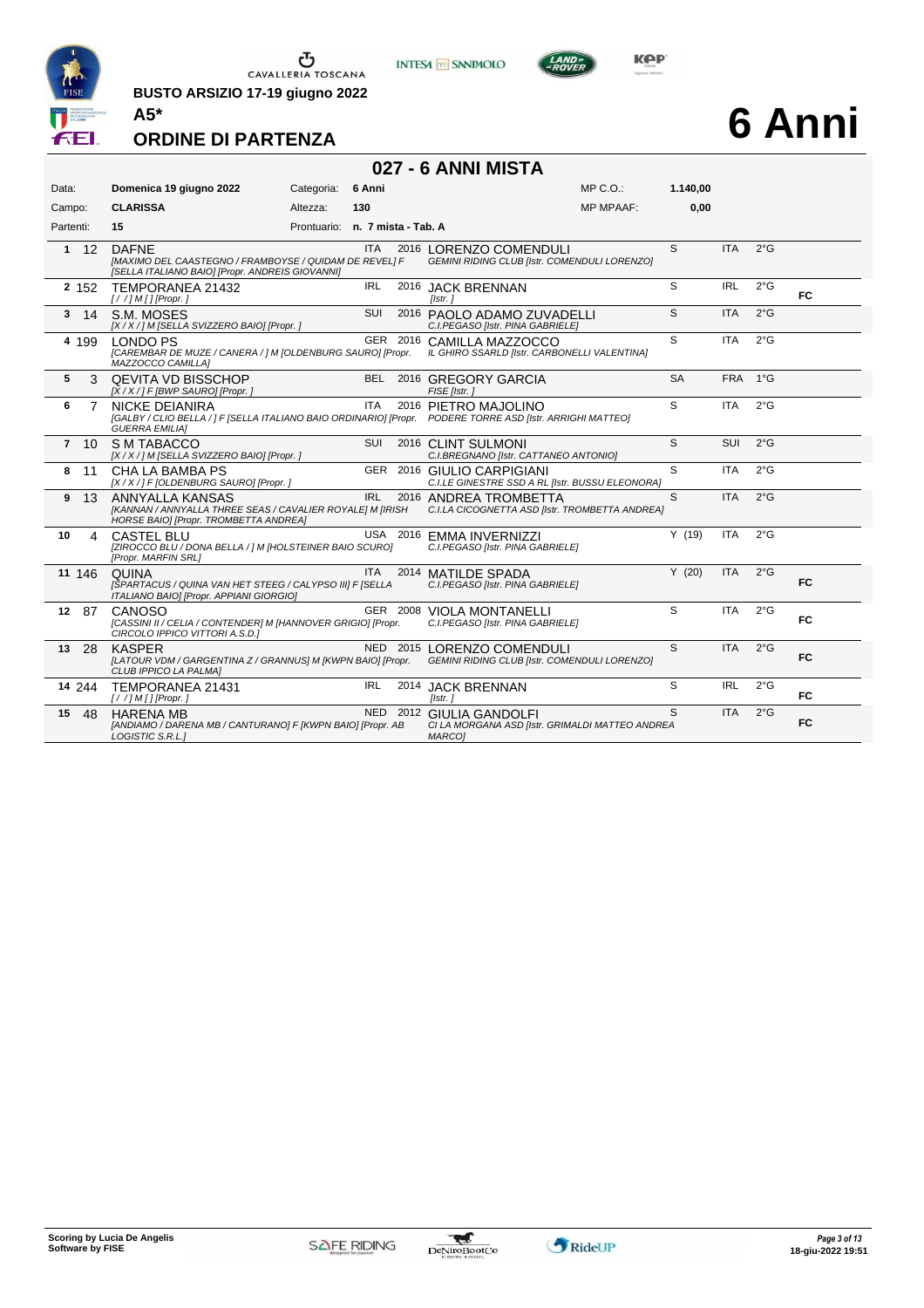

**BUSTO ARSIZIO 17-19 giugno 2022 A5\***





# **6 Anni**

| 027 - 6 ANNI MISTA   |                                                                                                                           |                                 |            |          |                                                                                                                                   |           |            |               |           |  |  |  |
|----------------------|---------------------------------------------------------------------------------------------------------------------------|---------------------------------|------------|----------|-----------------------------------------------------------------------------------------------------------------------------------|-----------|------------|---------------|-----------|--|--|--|
| Data:                | Domenica 19 giugno 2022                                                                                                   | Categoria:                      | 6 Anni     |          | $MP C. O.$ :                                                                                                                      | 1.140,00  |            |               |           |  |  |  |
| Campo:               | <b>CLARISSA</b>                                                                                                           | Altezza:                        | 130        |          | <b>MP MPAAF:</b>                                                                                                                  | 0.00      |            |               |           |  |  |  |
| Partenti:            | 15                                                                                                                        | Prontuario: n. 7 mista - Tab. A |            |          |                                                                                                                                   |           |            |               |           |  |  |  |
| $1 \quad 12$         | <b>DAFNE</b><br>[MAXIMO DEL CAASTEGNO / FRAMBOYSE / QUIDAM DE REVEL] F<br>[SELLA ITALIANO BAIO] [Propr. ANDREIS GIOVANNI] |                                 | <b>ITA</b> |          | 2016 LORENZO COMENDULI<br>GEMINI RIDING CLUB [Istr. COMENDULI LORENZO]                                                            | S         | <b>ITA</b> | 2°G           |           |  |  |  |
| 2 152                | TEMPORANEA 21432<br>$[!//]M[]$ [Propr.]                                                                                   |                                 | IRL        |          | 2016 JACK BRENNAN<br>Tistr. i                                                                                                     | S         | <b>IRL</b> | $2^{\circ}$ G | <b>FC</b> |  |  |  |
| $3 \t14$             | S.M. MOSES<br>[X / X / ] M [SELLA SVIZZERO BAIO] [Propr. ]                                                                |                                 | SUI        |          | 2016 PAOLO ADAMO ZUVADELLI<br>C.I.PEGASO [Istr. PINA GABRIELE]                                                                    | S         | <b>ITA</b> | $2^{\circ}$ G |           |  |  |  |
| 4 199                | <b>LONDO PS</b><br>[CAREMBAR DE MUZE / CANERA / ] M [OLDENBURG SAURO] [Propr.<br>MAZZOCCO CAMILLA]                        |                                 |            | GER 2016 | CAMILLA MAZZOCCO<br>IL GHIRO SSARLD [Istr. CARBONELLI VALENTINA]                                                                  | S         | <b>ITA</b> | $2^{\circ}$ G |           |  |  |  |
| 5<br>3               | <b>QEVITA VD BISSCHOP</b><br>$[X/X$ / ] F [BWP SAURO] [Propr. ]                                                           |                                 |            |          | BEL 2016 GREGORY GARCIA<br>FISE [Istr.]                                                                                           | <b>SA</b> | <b>FRA</b> | $1^{\circ}G$  |           |  |  |  |
| 6<br>7               | NICKE DEIANIRA<br><b>GUERRA EMILIA1</b>                                                                                   |                                 | <b>ITA</b> |          | 2016 PIETRO MAJOLINO<br>[GALBY / CLIO BELLA / ] F [SELLA ITALIANO BAIO ORDINARIO] [Propr. PODERE TORRE ASD [Istr. ARRIGHI MATTEO] | S         | <b>ITA</b> | $2^{\circ}$ G |           |  |  |  |
| $7 \t10$             | S M TABACCO<br>[X / X / ] M [SELLA SVIZZERO BAIO] [Propr. ]                                                               |                                 | <b>SUI</b> |          | 2016 CLINT SULMONI<br>C.I.BREGNANO [Istr. CATTANEO ANTONIO]                                                                       | S         | <b>SUI</b> | $2^{\circ}$ G |           |  |  |  |
| 11<br>8              | <b>CHA LA BAMBA PS</b><br>[X / X / ] F [OLDENBURG SAURO] [Propr. ]                                                        |                                 | <b>GER</b> |          | 2016 GIULIO CARPIGIANI<br>C.I.LE GINESTRE SSD A RL [Istr. BUSSU ELEONORA]                                                         | S         | <b>ITA</b> | 2°G           |           |  |  |  |
| 9<br>13              | ANNYALLA KANSAS<br>[KANNAN / ANNYALLA THREE SEAS / CAVALIER ROYALE] M [IRISH<br>HORSE BAIO] [Propr. TROMBETTA ANDREA]     |                                 | <b>IRL</b> |          | 2016 ANDREA TROMBETTA<br>C.I.LA CICOGNETTA ASD [Istr. TROMBETTA ANDREA]                                                           | S         | <b>ITA</b> | $2^{\circ}$ G |           |  |  |  |
| 10<br>$\overline{4}$ | <b>CASTEL BLU</b><br>[ZIROCCO BLU / DONA BELLA / ] M [HOLSTEINER BAIO SCURO]<br>[Propr. MARFIN SRL]                       |                                 |            |          | USA 2016 EMMA INVERNIZZI<br>C.I.PEGASO [Istr. PINA GABRIELE]                                                                      | Y(19)     | <b>ITA</b> | $2^{\circ}$ G |           |  |  |  |
| 11 146               | <b>QUINA</b><br>[SPARTACUS / QUINA VAN HET STEEG / CALYPSO III] F [SELLA<br>ITALIANO BAIO] [Propr. APPIANI GIORGIO]       |                                 | <b>ITA</b> |          | 2014 MATILDE SPADA<br>C.I.PEGASO [Istr. PINA GABRIELE]                                                                            | Y(20)     | <b>ITA</b> | $2^{\circ}$ G | <b>FC</b> |  |  |  |
| 12 87                | CANOSO<br>[CASSINI II / CELIA / CONTENDER] M [HANNOVER GRIGIO] [Propr.<br>CIRCOLO IPPICO VITTORI A.S.D.]                  |                                 |            | GER 2008 | <b>VIOLA MONTANELLI</b><br>C.I.PEGASO [Istr. PINA GABRIELE]                                                                       | S         | <b>ITA</b> | $2^{\circ}$ G | <b>FC</b> |  |  |  |
| 13<br>-28            | <b>KASPER</b><br>[LATOUR VDM / GARGENTINA Z / GRANNUS] M [KWPN BAIO] [Propr.<br>CLUB IPPICO LA PALMA]                     |                                 | NED        | 2015     | LORENZO COMENDULI<br><b>GEMINI RIDING CLUB [Istr. COMENDULI LORENZO]</b>                                                          | S         | <b>ITA</b> | $2^{\circ}$ G | <b>FC</b> |  |  |  |
| 14 244               | TEMPORANEA 21431<br>$[!//]$ M[] [Propr.]                                                                                  |                                 | <b>IRL</b> |          | 2014 JACK BRENNAN<br>[Istr. ]                                                                                                     | S         | <b>IRL</b> | $2^{\circ}$ G | <b>FC</b> |  |  |  |
| -48<br>15            | <b>HARENA MB</b><br>[ANDIAMO / DARENA MB / CANTURANO] F [KWPN BAIO] [Propr. AB<br>LOGISTIC S.R.L.J                        |                                 |            |          | NED 2012 GIULIA GANDOLFI<br>CI LA MORGANA ASD [Istr. GRIMALDI MATTEO ANDREA<br>MARCO1                                             | S         | <b>ITA</b> | $2^{\circ}$ G | <b>FC</b> |  |  |  |

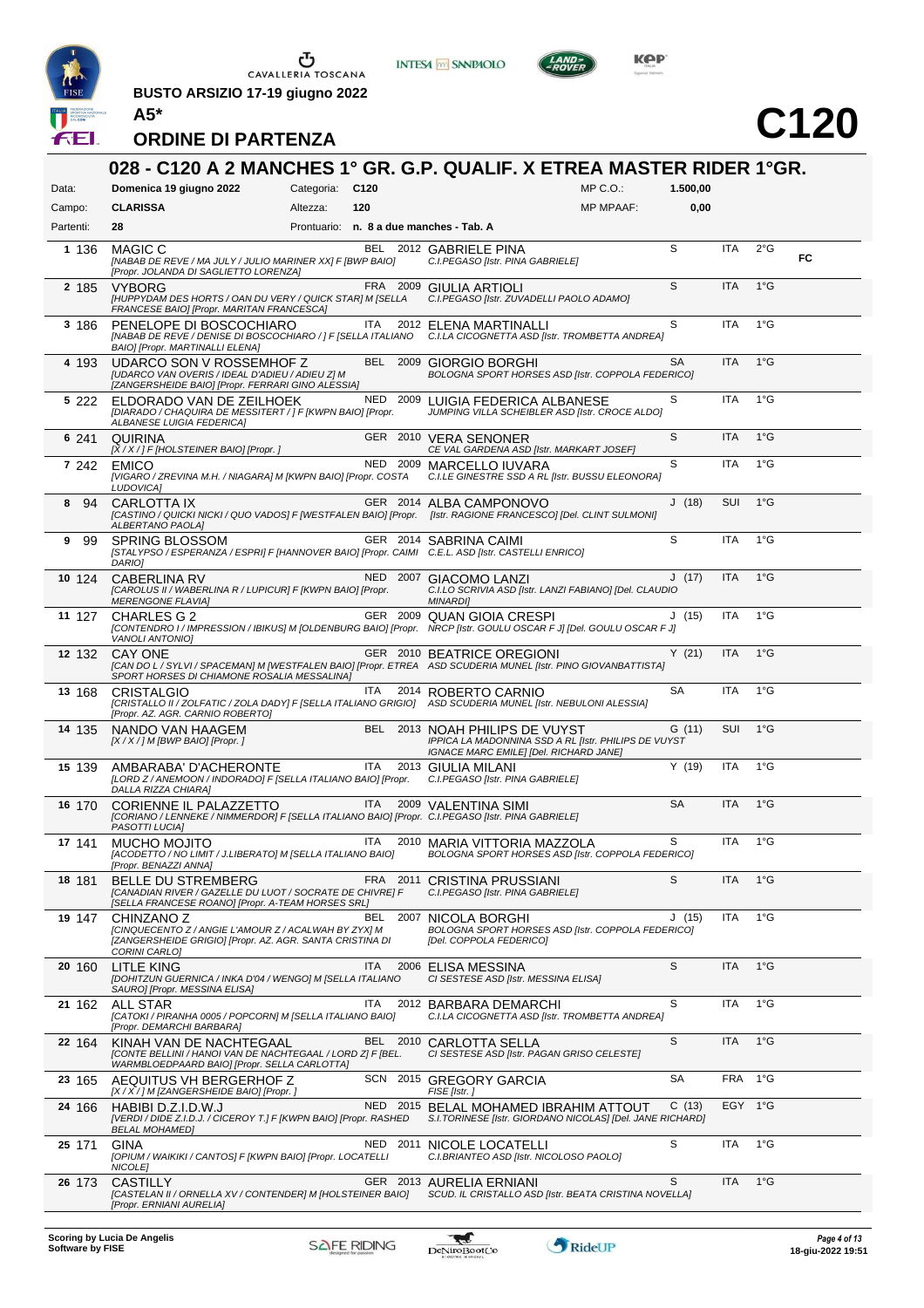

**A5\***

 $\begin{array}{c}\n\bullet \\
\bullet \\
\bullet \\
\bullet\n\end{array}$  CAVALLERIA TOSCANA

**BUSTO ARSIZIO 17-19 giugno 2022**







| Data:     | Domenica 19 giugno 2022                                                                                                                                              | Categoria: C120 |            |          |                                                                                                                                  | $MP C. O.$ :     | 1.500,00  |            |               |    |
|-----------|----------------------------------------------------------------------------------------------------------------------------------------------------------------------|-----------------|------------|----------|----------------------------------------------------------------------------------------------------------------------------------|------------------|-----------|------------|---------------|----|
| Campo:    | <b>CLARISSA</b>                                                                                                                                                      | Altezza:        | 120        |          |                                                                                                                                  | <b>MP MPAAF:</b> | 0,00      |            |               |    |
| Partenti: | 28                                                                                                                                                                   |                 |            |          | Prontuario: n. 8 a due manches - Tab. A                                                                                          |                  |           |            |               |    |
| 1 1 3 6   | MAGIC C<br>[NABAB DE REVE / MA JULY / JULIO MARINER XX] F [BWP BAIO]<br>[Propr. JOLANDA DI SAGLIETTO LORENZA]                                                        |                 |            |          | BEL 2012 GABRIELE PINA<br>C.I.PEGASO [Istr. PINA GABRIELE]                                                                       |                  | S         | <b>ITA</b> | $2^{\circ}$ G | FC |
| 2 185     | <b>VYBORG</b><br>[HUPPYDAM DES HORTS / OAN DU VERY / QUICK STAR] M [SELLA<br>FRANCESE BAIO] [Propr. MARITAN FRANCESCA]                                               |                 |            |          | FRA 2009 GIULIA ARTIOLI<br>C.I.PEGASO [Istr. ZUVADELLI PAOLO ADAMO]                                                              |                  | S         | <b>ITA</b> | $1^{\circ}$ G |    |
| 3 186     | PENELOPE DI BOSCOCHIARO<br>[NABAB DE REVE / DENISE DI BOSCOCHIARO / ] F [SELLA ITALIANO<br>BAIO] [Propr. MARTINALLI ELENA]                                           |                 | ITA        |          | 2012 ELENA MARTINALLI<br>C.I.LA CICOGNETTA ASD [Istr. TROMBETTA ANDREA]                                                          |                  | S         | <b>ITA</b> | $1^{\circ}$ G |    |
| 4 193     | UDARCO SON V ROSSEMHOF Z<br>[UDARCO VAN OVERIS / IDEAL D'ADIEU / ADIEU Z] M<br>[ZANGERSHEIDE BAIO] [Propr. FERRARI GINO ALESSIA]                                     |                 |            |          | BEL 2009 GIORGIO BORGHI<br>BOLOGNA SPORT HORSES ASD [Istr. COPPOLA FEDERICO]                                                     |                  | SA        | <b>ITA</b> | $1^{\circ}$ G |    |
| 5 222     | ELDORADO VAN DE ZEILHOEK<br>[DIARADO / CHAQUIRA DE MESSITERT / ] F [KWPN BAIO] [Propr.<br>ALBANESE LUIGIA FEDERICA]                                                  |                 |            |          | NED 2009 LUIGIA FEDERICA ALBANESE<br>JUMPING VILLA SCHEIBLER ASD [Istr. CROCE ALDO]                                              |                  | S         | <b>ITA</b> | $1^{\circ}$ G |    |
| 6 241     | QUIRINA<br>$[X/X/]$ F [HOLSTEINER BAIO] [Propr.]                                                                                                                     |                 |            |          | GER 2010 VERA SENONER<br>CE VAL GARDENA ASD [Istr. MARKART JOSEF]                                                                |                  | S         | <b>ITA</b> | $1^{\circ}$ G |    |
| 7 242     | <b>EMICO</b><br>[VIGARO / ZREVINA M.H. / NIAGARA] M [KWPN BAIO] [Propr. COSTA<br>LUDOVICA]                                                                           |                 |            |          | NED 2009 MARCELLO IUVARA<br>C.I.LE GINESTRE SSD A RL [Istr. BUSSU ELEONORA]                                                      |                  | S         | <b>ITA</b> | $1^{\circ}$ G |    |
| 94<br>8   | <b>CARLOTTA IX</b><br>[CASTINO / QUICKI NICKI / QUO VADOS] F [WESTFALEN BAIO] [Propr. [Istr. RAGIONE FRANCESCO] [Del. CLINT SULMONI]<br>ALBERTANO PAOLA]             |                 |            |          | GER 2014 ALBA CAMPONOVO                                                                                                          |                  | J(18)     | <b>SUI</b> | $1^{\circ}$ G |    |
| - 99<br>9 | <b>SPRING BLOSSOM</b><br>[STALYPSO / ESPERANZA / ESPRI] F [HANNOVER BAIO] [Propr. CAIMI C.E.L. ASD [Istr. CASTELLI ENRICO]<br>DARIO]                                 |                 |            |          | GER 2014 SABRINA CAIMI                                                                                                           |                  | S         | ITA        | $1^{\circ}$ G |    |
| 10 124    | <b>CABERLINA RV</b><br>[CAROLUS II / WABERLINA R / LUPICUR] F [KWPN BAIO] [Propr.<br><b>MERENGONE FLAVIAJ</b>                                                        |                 |            |          | NED 2007 GIACOMO LANZI<br>C.I.LO SCRIVIA ASD [Istr. LANZI FABIANO] [Del. CLAUDIO<br><b>MINARDI</b>                               |                  | J(17)     | <b>ITA</b> | $1^{\circ}$ G |    |
| 11 127    | <b>CHARLES G 2</b><br>[CONTENDRO I / IMPRESSION / IBIKUS] M [OLDENBURG BAIO] [Propr. NRCP [Istr. GOULU OSCAR F J] [Del. GOULU OSCAR F J]<br><b>VANOLI ANTONIO]</b>   |                 |            |          | GER 2009 QUAN GIOIA CRESPI                                                                                                       |                  | J(15)     | <b>ITA</b> | $1^{\circ}$ G |    |
| 12 132    | CAY ONE<br>[CAN DO L/SYLVI/SPACEMAN] M [WESTFALEN BAIO] [Propr. ETREA ASD SCUDERIA MUNEL [Istr. PINO GIOVANBATTISTA]<br>SPORT HORSES DI CHIAMONE ROSALIA MESSALINA]  |                 |            |          | GER 2010 BEATRICE OREGIONI                                                                                                       |                  | Y(21)     | <b>ITA</b> | $1^{\circ}$ G |    |
| 13 168    | <b>CRISTALGIO</b><br>[CRISTALLO II / ZOLFATIC / ZOLA DADY] F [SELLA ITALIANO GRIGIO] ASD SCUDERIA MUNEL [Istr. NEBULONI ALESSIA]<br>[Propr. AZ. AGR. CARNIO ROBERTO] |                 | ITA        |          | 2014 ROBERTO CARNIO                                                                                                              |                  | <b>SA</b> | <b>ITA</b> | $1^{\circ}$ G |    |
| 14 135    | NANDO VAN HAAGEM<br>$[X/X]/M$ [BWP BAIO] [Propr.]                                                                                                                    |                 |            |          | BEL 2013 NOAH PHILIPS DE VUYST<br>IPPICA LA MADONNINA SSD A RL [Istr. PHILIPS DE VUYST<br>IGNACE MARC EMILE] [Del. RICHARD JANE] |                  | G(11)     | <b>SUI</b> | $1^{\circ}G$  |    |
| 15 139    | AMBARABA' D'ACHERONTE<br>[LORD Z / ANEMOON / INDORADO] F [SELLA ITALIANO BAIO] [Propr.<br>DALLA RIZZA CHIARA]                                                        |                 | ITA        |          | 2013 GIULIA MILANI<br>C.I.PEGASO [Istr. PINA GABRIELE]                                                                           |                  | Y(19)     | ITA        | $1^{\circ}$ G |    |
| 16 170    | CORIENNE IL PALAZZETTO<br>[CORIANO / LENNEKE / NIMMERDOR] F [SELLA ITALIANO BAIO] [Propr. C.I.PEGASO [Istr. PINA GABRIELE]<br>PASOTTI LUCIA]                         |                 |            |          | ITA 2009 VALENTINA SIMI                                                                                                          |                  | <b>SA</b> | <b>ITA</b> | $1^{\circ}$ G |    |
| 17 141    | MUCHO MOJITO<br>[ACODETTO / NO LIMIT / J.LIBERATO] M [SELLA ITALIANO BAIO]<br>[Propr. BENAZZI ANNA]                                                                  |                 | ITA        |          | 2010 MARIA VITTORIA MAZZOLA<br>BOLOGNA SPORT HORSES ASD [Istr. COPPOLA FEDERICO]                                                 |                  | S         | <b>ITA</b> | $1^{\circ}$ G |    |
| 18 181    | <b>BELLE DU STREMBERG</b><br>[CANADIAN RIVER / GAZELLE DU LUOT / SOCRATE DE CHIVRE] F<br>[SELLA FRANCESE ROANO] [Propr. A-TEAM HORSES SRL]                           |                 |            |          | FRA 2011 CRISTINA PRUSSIANI<br>C.I.PEGASO [Istr. PINA GABRIELE]                                                                  |                  | S         | <b>ITA</b> | $1^{\circ}$ G |    |
| 19 147    | CHINZANO Z<br>[CINQUECENTO Z / ANGIE L'AMOUR Z / ACALWAH BY ZYX] M<br>[ZANGERSHEIDE GRIGIO] [Propr. AZ. AGR. SANTA CRISTINA DI<br>CORINI CARLO]                      |                 | BEL        |          | 2007 NICOLA BORGHI<br>BOLOGNA SPORT HORSES ASD [Istr. COPPOLA FEDERICO]<br>[Del. COPPOLA FEDERICO]                               |                  | J(15)     | ITA        | $1^{\circ}$ G |    |
| 20 160    | <b>LITLE KING</b><br>[DOHITZUN GUERNICA / INKA D'04 / WENGO] M [SELLA ITALIANO<br>SAURO] [Propr. MESSINA ELISA]                                                      |                 | <b>ITA</b> |          | 2006 ELISA MESSINA<br>CI SESTESE ASD [Istr. MESSINA ELISA]                                                                       |                  | S         | <b>ITA</b> | $1^{\circ}$ G |    |
| 21 162    | ALL STAR<br>[CATOKI / PIRANHA 0005 / POPCORN] M [SELLA ITALIANO BAIO]<br>[Propr. DEMARCHI BARBARA]                                                                   |                 | ITA        |          | 2012 BARBARA DEMARCHI<br>C.I.LA CICOGNETTA ASD [Istr. TROMBETTA ANDREA]                                                          |                  | S         | ITA        | $1^{\circ}$ G |    |
| 22 164    | KINAH VAN DE NACHTEGAAL<br>ICONTE BELLINI / HANOI VAN DE NACHTEGAAL / LORD Z] F [BEL.<br>WARMBLOEDPAARD BAIO] [Propr. SELLA CARLOTTA]                                |                 |            | BEL 2010 | CARLOTTA SELLA<br>CI SESTESE ASD [Istr. PAGAN GRISO CELESTE]                                                                     |                  | S         | <b>ITA</b> | $1^{\circ}$ G |    |
| 23 165    | AEQUITUS VH BERGERHOF Z<br>[X / X / ] M [ZANGERSHEIDE BAIO] [Propr. ]                                                                                                |                 |            |          | SCN 2015 GREGORY GARCIA<br>FISE [Istr.]                                                                                          |                  | SA        | <b>FRA</b> | 1°G           |    |
| 24 166    | HABIBI D.Z.I.D.W.J<br>[VERDI / DIDE Z.I.D.J. / CICEROY T.] F [KWPN BAIO] [Propr. RASHED<br><b>BELAL MOHAMED]</b>                                                     |                 |            |          | NED 2015 BELAL MOHAMED IBRAHIM ATTOUT<br>S.I. TORINESE [Istr. GIORDANO NICOLAS] [Del. JANE RICHARD]                              |                  | C(13)     | EGY 1°G    |               |    |
| 25 171    | GINA<br>[OPIUM / WAIKIKI / CANTOS] F [KWPN BAIO] [Propr. LOCATELLI<br>NICOLE]                                                                                        |                 |            | NED 2011 | NICOLE LOCATELLI<br>C.I.BRIANTEO ASD [Istr. NICOLOSO PAOLO]                                                                      |                  | S         | ITA        | $1^{\circ}$ G |    |
| 26 173    | <b>CASTILLY</b><br>[CASTELAN II / ORNELLA XV / CONTENDER] M [HOLSTEINER BAIO]<br>[Propr. ERNIANI AURELIA]                                                            |                 |            |          | GER 2013 AURELIA ERNIANI<br>SCUD. IL CRISTALLO ASD [Istr. BEATA CRISTINA NOVELLA]                                                |                  | S         | <b>ITA</b> | $1^{\circ}$ G |    |

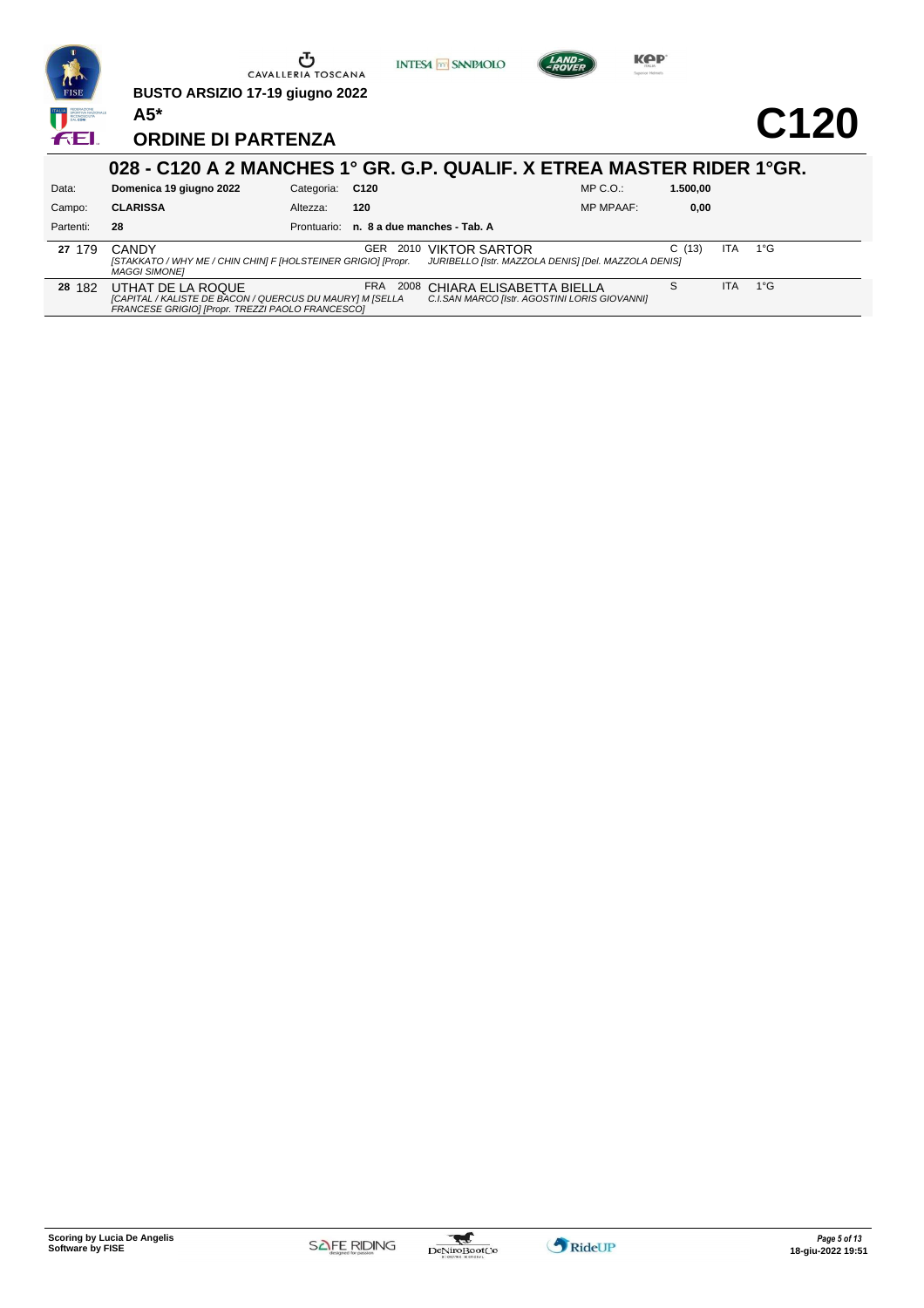

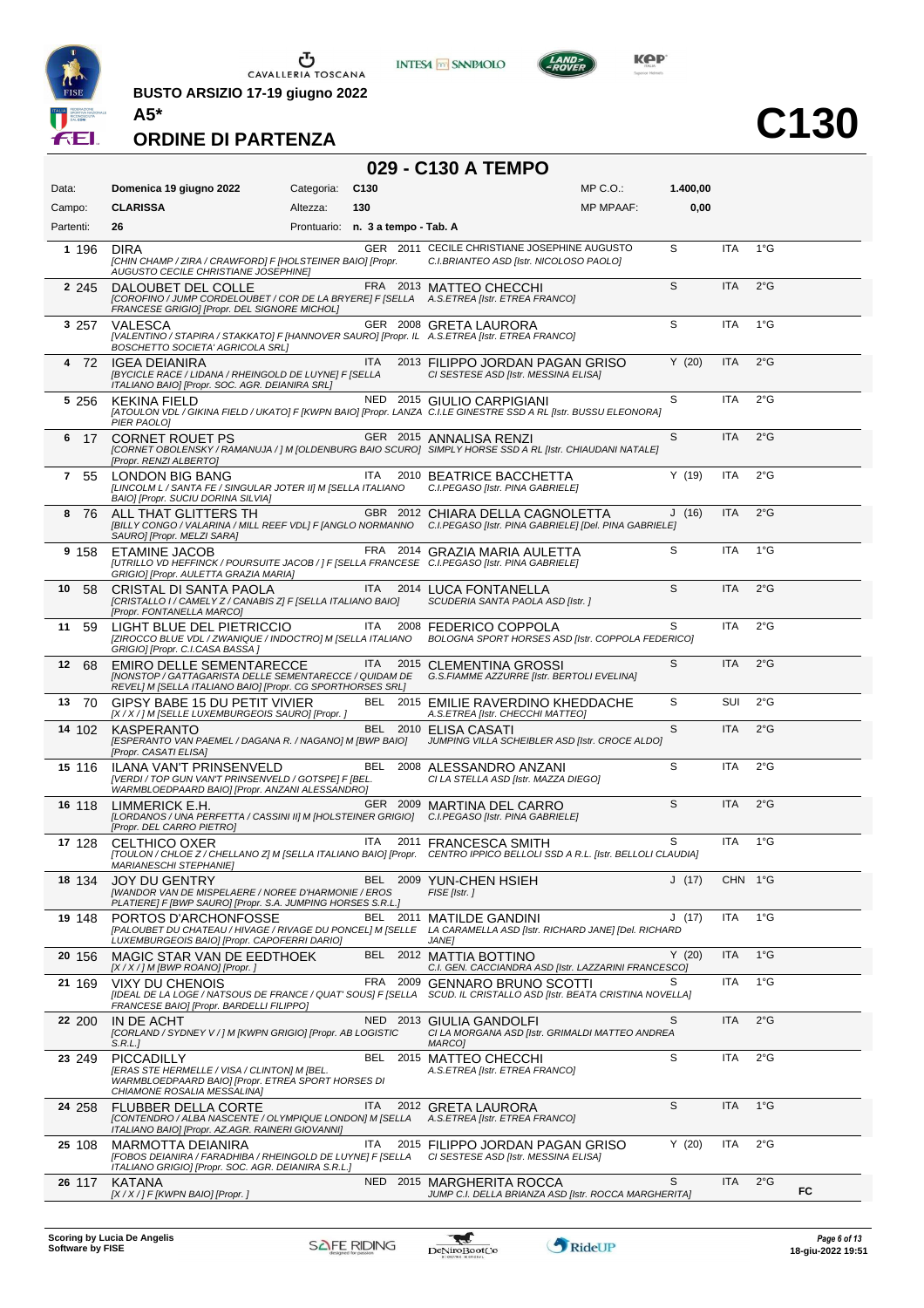

**BUSTO ARSIZIO 17-19 giugno 2022 A5\***





**C130**

### **ORDINE DI PARTENZA**

|  |  | 029 - C130 A TEMPO |
|--|--|--------------------|
|--|--|--------------------|

**INTESA M** SANPAOLO

| Data:      | Domenica 19 giugno 2022                                                                                                                                                                            | Categoria:                        | C <sub>130</sub> |          |                                                                                               | $MP C. O.$ :     | 1.400,00 |            |               |    |
|------------|----------------------------------------------------------------------------------------------------------------------------------------------------------------------------------------------------|-----------------------------------|------------------|----------|-----------------------------------------------------------------------------------------------|------------------|----------|------------|---------------|----|
| Campo:     | <b>CLARISSA</b>                                                                                                                                                                                    | Altezza:                          | 130              |          |                                                                                               | <b>MP MPAAF:</b> | 0,00     |            |               |    |
| Partenti:  | 26                                                                                                                                                                                                 | Prontuario: n. 3 a tempo - Tab. A |                  |          |                                                                                               |                  |          |            |               |    |
| 1 196      | <b>DIRA</b><br>[CHIN CHAMP / ZIRA / CRAWFORD] F [HOLSTEINER BAIO] [Propr.<br>AUGUSTO CECILE CHRISTIANE JOSEPHINE]                                                                                  |                                   |                  |          | GER 2011 CECILE CHRISTIANE JOSEPHINE AUGUSTO<br>C.I.BRIANTEO ASD [Istr. NICOLOSO PAOLO]       |                  | S        | <b>ITA</b> | $1^{\circ}$ G |    |
| 2 2 4 5    | DALOUBET DEL COLLE<br>[COROFINO / JUMP CORDELOUBET / COR DE LA BRYERE] F [SELLA A.S.ETREA [Istr. ETREA FRANCO]<br>FRANCESE GRIGIO] [Propr. DEL SIGNORE MICHOL]                                     |                                   |                  |          | FRA 2013 MATTEO CHECCHI                                                                       |                  | S        | <b>ITA</b> | $2^{\circ}$ G |    |
| 3 257      | VALESCA<br>[VALENTINO / STAPIRA / STAKKATO] F [HANNOVER SAURO] [Propr. IL A.S.ETREA [Istr. ETREA FRANCO]<br>BOSCHETTO SOCIETA' AGRICOLA SRL]                                                       |                                   |                  |          | GER 2008 GRETA LAURORA                                                                        |                  | S        | <b>ITA</b> | $1^{\circ}$ G |    |
| 4 72       | IGEA DEIANIRA<br>[BYCICLE RACE / LIDANA / RHEINGOLD DE LUYNE] F [SELLA<br>ITALIANO BAIO] [Propr. SOC. AGR. DEIANIRA SRL]                                                                           |                                   | ITA              |          | 2013 FILIPPO JORDAN PAGAN GRISO<br>CI SESTESE ASD [Istr. MESSINA ELISA]                       |                  | Y(20)    | <b>ITA</b> | $2^{\circ}$ G |    |
| 5 256      | <b>KEKINA FIELD</b><br>[ATOULON VDL / GIKINA FIELD / UKATO] F [KWPN BAIO] [Propr. LANZA C.I.LE GINESTRE SSD A RL [Istr. BUSSU ELEONORA]<br>PIER PAOLO]                                             |                                   |                  |          | NED 2015 GIULIO CARPIGIANI                                                                    |                  | S        | <b>ITA</b> | $2^{\circ}$ G |    |
| 6 17       | <b>CORNET ROUET PS</b><br>[CORNET OBOLENSKY / RAMANUJA / ] M [OLDENBURG BAIO SCURO] SIMPLY HORSE SSD A RL [Istr. CHIAUDANI NATALE]<br>[Propr. RENZI ALBERTO]                                       |                                   |                  |          | GER 2015 ANNALISA RENZI                                                                       |                  | S        | ITA        | $2^{\circ}$ G |    |
| 7<br>55    | LONDON BIG BANG<br>[LINCOLM L / SANTA FE / SINGULAR JOTER II] M [SELLA ITALIANO<br>BAIO] [Propr. SUCIU DORINA SILVIA]                                                                              |                                   | ITA              |          | 2010 BEATRICE BACCHETTA<br>C.I.PEGASO [Istr. PINA GABRIELE]                                   |                  | Y(19)    | ITA        | $2^{\circ}$ G |    |
| 876        | ALL THAT GLITTERS TH<br>[BILLY CONGO / VALARINA / MILL REEF VDL] F [ANGLO NORMANNO C.I.PEGASO [Istr. PINA GABRIELE] [Del. PINA GABRIELE]<br>SAUROJ [Propr. MELZI SARA]                             |                                   |                  |          | GBR 2012 CHIARA DELLA CAGNOLETTA                                                              |                  | J(16)    | ITA        | $2^{\circ}$ G |    |
| 9 158      | ETAMINE JACOB<br>[UTRILLO VD HEFFINCK / POURSUITE JACOB / ] F [SELLA FRANCESE C.I.PEGASO [Istr. PINA GABRIELE]<br>GRIGIO] [Propr. AULETTA GRAZIA MARIA]                                            |                                   |                  |          | FRA 2014 GRAZIA MARIA AULETTA                                                                 |                  | S        | ITA        | $1^{\circ}$ G |    |
| 10<br>-58  | CRISTAL DI SANTA PAOLA<br>[CRISTALLO I / CAMELY Z / CANABIS Z] F [SELLA ITALIANO BAIO]<br>[Propr. FONTANELLA MARCO]                                                                                |                                   | <b>ITA</b>       |          | 2014 LUCA FONTANELLA<br>SCUDERIA SANTA PAOLA ASD [Istr. ]                                     |                  | S        | <b>ITA</b> | $2^{\circ}$ G |    |
| 11<br>59   | LIGHT BLUE DEL PIETRICCIO<br>[ZIROCCO BLUE VDL / ZWANIQUE / INDOCTRO] M [SELLA ITALIANO<br>GRIGIO] [Propr. C.I.CASA BASSA ]                                                                        |                                   | ITA              |          | 2008 FEDERICO COPPOLA<br>BOLOGNA SPORT HORSES ASD [Istr. COPPOLA FEDERICO]                    |                  | S        | <b>ITA</b> | $2^{\circ}$ G |    |
| 12<br>68   | <b>EMIRO DELLE SEMENTARECCE</b><br>[NONSTOP / GATTAGARISTA DELLE SEMENTARECCE / QUIDAM DE G.S.FIAMME AZZURRE [Istr. BERTOLI EVELINA]<br>REVEL] M [SELLA ITALIANO BAIO] [Propr. CG SPORTHORSES SRL] |                                   | ITA              |          | 2015 CLEMENTINA GROSSI                                                                        |                  | S        | <b>ITA</b> | $2^{\circ}$ G |    |
| 13<br>- 70 | GIPSY BABE 15 DU PETIT VIVIER<br>[X / X / ] M [SELLE LUXEMBURGEOIS SAURO] [Propr. ]                                                                                                                |                                   | BEL              |          | 2015 EMILIE RAVERDINO KHEDDACHE<br>A.S.ETREA [Istr. CHECCHI MATTEO]                           |                  | S        | SUI        | $2^{\circ}$ G |    |
| 14 102     | <b>KASPERANTO</b><br>[ESPERANTO VAN PAEMEL / DAGANA R. / NAGANO] M [BWP BAIO]<br>[Propr. CASATI ELISA]                                                                                             |                                   |                  |          | BEL 2010 ELISA CASATI<br>JUMPING VILLA SCHEIBLER ASD [Istr. CROCE ALDO]                       |                  | S        | <b>ITA</b> | $2^{\circ}$ G |    |
| 15 116     | ILANA VAN'T PRINSENVELD<br>[VERDI / TOP GUN VAN'T PRINSENVELD / GOTSPE] F [BEL.<br>WARMBLOEDPAARD BAIO] [Propr. ANZANI ALESSANDRO]                                                                 |                                   |                  |          | BEL 2008 ALESSANDRO ANZANI<br>CI LA STELLA ASD [Istr. MAZZA DIEGO]                            |                  | S        | ITA        | $2^{\circ}$ G |    |
| 16 118     | LIMMERICK E.H.<br>[LORDANOS / UNA PERFETTA / CASSINI II] M [HOLSTEINER GRIGIO] C.I.PEGASO [Istr. PINA GABRIELE]<br>[Propr. DEL CARRO PIETRO]                                                       |                                   |                  |          | GER 2009 MARTINA DEL CARRO                                                                    |                  | S        | ITA        | $2^{\circ}G$  |    |
| 17 128     | <b>CELTHICO OXER</b><br>[TOULON / CHLOE Z / CHELLANO Z] M [SELLA ITALIANO BAIO] [Propr. CENTRO IPPICO BELLOLI SSD A R.L. [Istr. BELLOLI CLAUDIA]<br><b>MARIANESCHI STEPHANIE]</b>                  |                                   | ITA              |          | 2011 FRANCESCA SMITH                                                                          |                  | S        | ITA        | $1^{\circ}$ G |    |
| 18 134     | <b>JOY DU GENTRY</b><br>[WANDOR VAN DE MISPELAERE / NOREE D'HARMONIE / EROS<br>PLATIERE] F [BWP SAURO] [Propr. S.A. JUMPING HORSES S.R.L.]                                                         |                                   |                  |          | BEL 2009 YUN-CHEN HSIEH<br>FISE [Istr.]                                                       |                  | J(17)    | CHN 1°G    |               |    |
| 19 148     | PORTOS D'ARCHONFOSSE<br>[PALOUBET DU CHATEAU / HIVAGE / RIVAGE DU PONCEL] M [SELLE<br>LUXEMBURGEOIS BAIO] [Propr. CAPOFERRI DARIO]                                                                 |                                   |                  | BEL 2011 | <b>MATILDE GANDINI</b><br>LA CARAMELLA ASD [Istr. RICHARD JANE] [Del. RICHARD<br><b>JANE1</b> |                  | J(17)    | ITA        | $1^{\circ}$ G |    |
| 20 156     | MAGIC STAR VAN DE EEDTHOEK<br>[X / X / ] M [BWP ROANO] [Propr. ]                                                                                                                                   |                                   |                  |          | BEL 2012 MATTIA BOTTINO<br>C.I. GEN. CACCIANDRA ASD [Istr. LAZZARINI FRANCESCO]               |                  | Y(20)    | <b>ITA</b> | $1^{\circ}$ G |    |
| 21 169     | <b>VIXY DU CHENOIS</b><br>[IDEAL DE LA LOGE / NATSOUS DE FRANCE / QUAT' SOUS] F [SELLA<br>FRANCESE BAIO] [Propr. BARDELLI FILIPPO]                                                                 |                                   | FRA              | 2009     | <b>GENNARO BRUNO SCOTTI</b><br>SCUD. IL CRISTALLO ASD [Istr. BEATA CRISTINA NOVELLA]          |                  | S        | <b>ITA</b> | $1^{\circ}$ G |    |
| 22 200     | IN DE ACHT<br>[CORLAND / SYDNEY V / ] M [KWPN GRIGIO] [Propr. AB LOGISTIC<br>S.R.L.                                                                                                                |                                   |                  | NED 2013 | GIULIA GANDOLFI<br>CI LA MORGANA ASD [Istr. GRIMALDI MATTEO ANDREA<br>MARCO1                  |                  | S        | ITA        | $2^{\circ}$ G |    |
| 23 249     | <b>PICCADILLY</b><br><b>IERAS STE HERMELLE / VISA / CLINTONI M IBEL.</b><br>WARMBLOEDPAARD BAIO] [Propr. ETREA SPORT HORSES DI<br>CHIAMONE ROSALIA MESSALINA]                                      |                                   | BEL              |          | 2015 MATTEO CHECCHI<br>A.S.ETREA [Istr. ETREA FRANCO]                                         |                  | S        | <b>ITA</b> | $2^{\circ}$ G |    |
| 24 258     | <b>FLUBBER DELLA CORTE</b><br>[CONTENDRO / ALBA NASCENTE / OLYMPIQUE LONDON] M [SELLA<br>ITALIANO BAIO] [Propr. AZ.AGR. RAINERI GIOVANNI]                                                          |                                   | ITA              |          | 2012 GRETA LAURORA<br>A.S.ETREA [Istr. ETREA FRANCO]                                          |                  | S        | <b>ITA</b> | $1^{\circ}$ G |    |
| 25 108     | MARMOTTA DEIANIRA<br>[FOBOS DEIANIRA / FARADHIBA / RHEINGOLD DE LUYNE] F [SELLA<br>ITALIANO GRIGIO] [Propr. SOC. AGR. DEIANIRA S.R.L.]                                                             |                                   | ITA              |          | 2015 FILIPPO JORDAN PAGAN GRISO<br>CI SESTESE ASD [Istr. MESSINA ELISA]                       |                  | Y(20)    | <b>ITA</b> | $2^{\circ}$ G |    |
| 26 117     | KATANA<br>[X / X / ] F [KWPN BAIO] [Propr. ]                                                                                                                                                       |                                   |                  |          | NED 2015 MARGHERITA ROCCA<br>JUMP C.I. DELLA BRIANZA ASD [Istr. ROCCA MARGHERITA]             |                  | S        | <b>ITA</b> | $2^{\circ}$ G | FC |

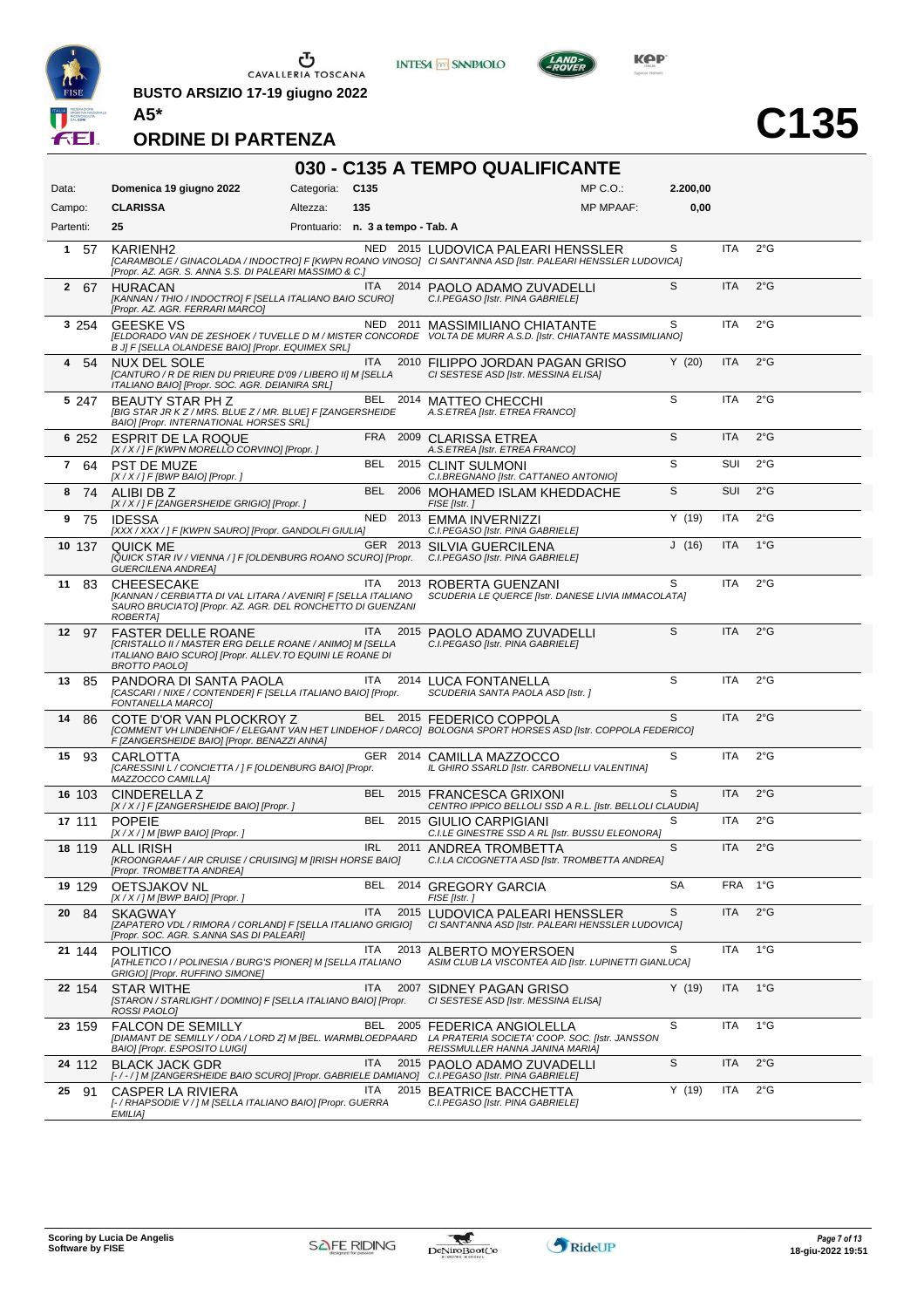

**BUSTO ARSIZIO 17-19 giugno 2022 A5\***





# **C135**

**ORDINE DI PARTENZA**

#### **030 - C135 A TEMPO QUALIFICANTE**

| Data:       | Domenica 19 giugno 2022                                                                                                                                                   | Categoria:                        | C <sub>135</sub> |          | $MP C. O.$ :                                                                                                                                       | 2.200,00 |            |               |
|-------------|---------------------------------------------------------------------------------------------------------------------------------------------------------------------------|-----------------------------------|------------------|----------|----------------------------------------------------------------------------------------------------------------------------------------------------|----------|------------|---------------|
| Campo:      | <b>CLARISSA</b>                                                                                                                                                           | Altezza:                          | 135              |          | <b>MP MPAAF:</b>                                                                                                                                   | 0,00     |            |               |
| Partenti:   | 25                                                                                                                                                                        | Prontuario: n. 3 a tempo - Tab. A |                  |          |                                                                                                                                                    |          |            |               |
| $1\quad 57$ | KARIENH <sub>2</sub><br>[Propr. AZ. AGR. S. ANNA S.S. DI PALEARI MASSIMO & C.]                                                                                            |                                   |                  |          | NED 2015 LUDOVICA PALEARI HENSSLER<br>[CARAMBOLE / GINACOLADA / INDOCTRO] F [KWPN ROANO VINOSO] CI SANT'ANNA ASD [Istr. PALEARI HENSSLER LUDOVICA] | S        | <b>ITA</b> | $2^{\circ}$ G |
| 2 67        | <b>HURACAN</b><br>[KANNAN / THIO / INDOCTRO] F [SELLA ITALIANO BAIO SCURO]<br>[Propr. AZ. AGR. FERRARI MARCO]                                                             |                                   | ITA.             |          | 2014 PAOLO ADAMO ZUVADELLI<br>C.I.PEGASO [Istr. PINA GABRIELE]                                                                                     | S        | <b>ITA</b> | $2^{\circ}$ G |
| 3 2 5 4     | <b>GEESKE VS</b><br>B J] F [SELLA OLANDESE BAIO] [Propr. EQUIMEX SRL]                                                                                                     |                                   |                  |          | NED 2011 MASSIMILIANO CHIATANTE<br>[ELDORADO VAN DE ZESHOEK / TUVELLE D M / MISTER CONCORDE VOLTA DE MURR A.S.D. [Istr. CHIATANTE MASSIMILIANO]    | S        | ITA        | 2°G           |
| -54<br>4    | <b>NUX DEL SOLE</b><br>[CANTURO / R DE RIEN DU PRIEURE D'09 / LIBERO II] M [SELLA<br>ITALIANO BAIO] [Propr. SOC. AGR. DEIANIRA SRL]                                       |                                   | ITA.             |          | 2010 FILIPPO JORDAN PAGAN GRISO<br>CI SESTESE ASD [Istr. MESSINA ELISA]                                                                            | Y(20)    | <b>ITA</b> | $2^{\circ}$ G |
| 5 247       | <b>BEAUTY STAR PH Z</b><br>[BIG STAR JR K Z / MRS. BLUE Z / MR. BLUE] F [ZANGERSHEIDE<br>BAIO] [Propr. INTERNATIONAL HORSES SRL]                                          |                                   |                  |          | BEL 2014 MATTEO CHECCHI<br>A.S.ETREA [Istr. ETREA FRANCO]                                                                                          | S        | <b>ITA</b> | $2^{\circ}$ G |
| 6 252       | <b>ESPRIT DE LA ROQUE</b><br>[X / X / ] F [KWPN MORELLO CORVINO] [Propr. ]                                                                                                |                                   |                  |          | FRA 2009 CLARISSA ETREA<br>A.S.ETREA [Istr. ETREA FRANCO]                                                                                          | S        | ITA        | 2°G           |
| 7<br>64     | <b>PST DE MUZE</b><br>$[X/X$ / ] F [BWP BAIO] [Propr. ]                                                                                                                   |                                   | BEL              |          | 2015 CLINT SULMONI<br>C.I.BREGNANO [Istr. CATTANEO ANTONIO]                                                                                        | S        | SUI        | $2^{\circ}$ G |
| 8 74        | ALIBI DB Z<br>[X / X / ] F [ZANGERSHEIDE GRIGIO] [Propr. ]                                                                                                                |                                   | <b>BEL</b>       |          | 2006 MOHAMED ISLAM KHEDDACHE<br>FISE [Istr.]                                                                                                       | S        | <b>SUI</b> | 2°G           |
| 75<br>9     | <b>IDESSA</b><br>[XXX / XXX / ] F [KWPN SAURO] [Propr. GANDOLFI GIULIA]                                                                                                   |                                   |                  |          | NED 2013 EMMA INVERNIZZI<br>C.I.PEGASO [Istr. PINA GABRIELE]                                                                                       | Y(19)    | <b>ITA</b> | $2^{\circ}$ G |
| 10 137      | QUICK ME<br>[QUICK STAR IV / VIENNA / ] F [OLDENBURG ROANO SCURO] [Propr.<br><b>GUERCILENA ANDREA]</b>                                                                    |                                   |                  |          | GER 2013 SILVIA GUERCILENA<br>C.I.PEGASO [Istr. PINA GABRIELE]                                                                                     | J(16)    | <b>ITA</b> | $1^{\circ}$ G |
| 11<br>- 83  | <b>CHEESECAKE</b><br>[KANNAN / CERBIATTA DI VAL LITARA / AVENIR] F [SELLA ITALIANO<br>SAURO BRUCIATO] [Propr. AZ. AGR. DEL RONCHETTO DI GUENZANI<br>ROBERTA]              |                                   | ITA.             |          | 2013 ROBERTA GUENZANI<br>SCUDERIA LE QUERCE [Istr. DANESE LIVIA IMMACOLATA]                                                                        | S        | <b>ITA</b> | $2^{\circ}$ G |
| 12<br>97    | <b>FASTER DELLE ROANE</b><br>[CRISTALLO II / MASTER ERG DELLE ROANE / ANIMO] M [SELLA<br>ITALIANO BAIO SCURO] [Propr. ALLEV.TO EQUINI LE ROANE DI<br><b>BROTTO PAOLOJ</b> |                                   | ITA              |          | 2015 PAOLO ADAMO ZUVADELLI<br>C.I.PEGASO [Istr. PINA GABRIELE]                                                                                     | S        | <b>ITA</b> | $2^{\circ}$ G |
| 13<br>85    | PANDORA DI SANTA PAOLA<br>[CASCARI / NIXE / CONTENDER] F [SELLA ITALIANO BAIO] [Propr.<br>FONTANELLA MARCO]                                                               |                                   | ITA              |          | 2014 LUCA FONTANELLA<br>SCUDERIA SANTA PAOLA ASD [Istr. ]                                                                                          | S        | <b>ITA</b> | $2^{\circ}$ G |
| 14<br>86    | COTE D'OR VAN PLOCKROY Z<br>F [ZANGERSHEIDE BAIO] [Propr. BENAZZI ANNA]                                                                                                   |                                   |                  |          | BEL 2015 FEDERICO COPPOLA<br>[COMMENT VH LINDENHOF / ELEGANT VAN HET LINDEHOF / DARCO] BOLOGNA SPORT HORSES ASD [Istr. COPPOLA FEDERICO]           | S        | <b>ITA</b> | $2^{\circ}$ G |
| 15<br>93    | CARLOTTA<br>[CARESSINI L / CONCIETTA / ] F [OLDENBURG BAIO] [Propr.<br>MAZZOCCO CAMILLA]                                                                                  |                                   |                  | GER 2014 | CAMILLA MAZZOCCO<br>IL GHIRO SSARLD [Istr. CARBONELLI VALENTINA]                                                                                   | S        | <b>ITA</b> | $2^{\circ}$ G |
| 16 103      | CINDERELLA Z<br>[X / X / ] F [ZANGERSHEIDE BAIO] [Propr. ]                                                                                                                |                                   | BEL              |          | 2015 FRANCESCA GRIXONI<br>CENTRO IPPICO BELLOLI SSD A R.L. [Istr. BELLOLI CLAUDIA]                                                                 | S        | ITA        | $2^{\circ}$ G |
| 17 111      | <b>POPEIE</b><br>[X / X / ] M [BWP BAIO] [Propr. ]                                                                                                                        |                                   | <b>BEL</b>       |          | 2015 GIULIO CARPIGIANI<br>C.I.LE GINESTRE SSD A RL [Istr. BUSSU ELEONORA]                                                                          | S        | <b>ITA</b> | 2°G           |
| 18 119      | <b>ALL IRISH</b><br>[KROONGRAAF / AIR CRUISE / CRUISING] M [IRISH HORSE BAIO]<br>[Propr. TROMBETTA ANDREA]                                                                |                                   | <b>IRL</b>       |          | 2011 ANDREA TROMBETTA<br>C.I.LA CICOGNETTA ASD [Istr. TROMBETTA ANDREA]                                                                            | S        | <b>ITA</b> | 2°G           |
| 19 129      | OETSJAKOV NL<br>[X / X / ] M [BWP BAIO] [Propr. ]                                                                                                                         |                                   |                  |          | BEL 2014 GREGORY GARCIA<br>FISE [Istr.]                                                                                                            | SA       | FRA 1°G    |               |
| 20<br>84    | <b>SKAGWAY</b><br>[ZAPATERO VDL / RIMORA / CORLAND] F [SELLA ITALIANO GRIGIO]<br>[Propr. SOC. AGR. S.ANNA SAS DI PALEARI]                                                 |                                   | ITA              |          | 2015 LUDOVICA PALEARI HENSSLER<br>CI SANT'ANNA ASD [Istr. PALEARI HENSSLER LUDOVICA]                                                               | S        | ITA        | $2^{\circ}$ G |
| 21 144      | <b>POLITICO</b><br>[ATHLETICO I / POLINESIA / BURG'S PIONER] M [SELLA ITALIANO<br>GRIGIO] [Propr. RUFFINO SIMONE]                                                         |                                   | <b>ITA</b>       | 2013     | ALBERTO MOYERSOEN<br>ASIM CLUB LA VISCONTEA AID [Istr. LUPINETTI GIANLUCA]                                                                         | S        | <b>ITA</b> | $1^{\circ}$ G |
| 22 154      | <b>STAR WITHE</b><br>[STARON / STARLIGHT / DOMINO] F [SELLA ITALIANO BAIO] [Propr.<br>ROSSI PAOLO]                                                                        |                                   | <b>ITA</b>       | 2007     | SIDNEY PAGAN GRISO<br>CI SESTESE ASD [Istr. MESSINA ELISA]                                                                                         | Y(19)    | <b>ITA</b> | $1^{\circ}$ G |
| 23 159      | <b>FALCON DE SEMILLY</b><br>[DIAMANT DE SEMILLY / ODA / LORD Z] M [BEL. WARMBLOEDPAARD<br>BAIO] [Propr. ESPOSITO LUIGI]                                                   |                                   |                  |          | BEL 2005 FEDERICA ANGIOLELLA<br>LA PRATERIA SOCIETA' COOP. SOC. [Istr. JANSSON<br>REISSMULLER HANNA JANINA MARIA]                                  | S        | <b>ITA</b> | $1^{\circ}$ G |
| 24 112      | <b>BLACK JACK GDR</b><br>[-/-/] M [ZANGERSHEIDE BAIO SCURO] [Propr. GABRIELE DAMIANO] C.I.PEGASO [Istr. PINA GABRIELE]                                                    |                                   | ITA              |          | 2015 PAOLO ADAMO ZUVADELLI                                                                                                                         | S        | <b>ITA</b> | 2°G           |
| 25<br>91    | CASPER LA RIVIERA<br>[- / RHAPSODIE V / ] M [SELLA ITALIANO BAIO] [Propr. GUERRA<br>EMILIA]                                                                               |                                   | ITA.             |          | 2015 BEATRICE BACCHETTA<br>C.I.PEGASO [Istr. PINA GABRIELE]                                                                                        | Y(19)    | <b>ITA</b> | 2°G           |

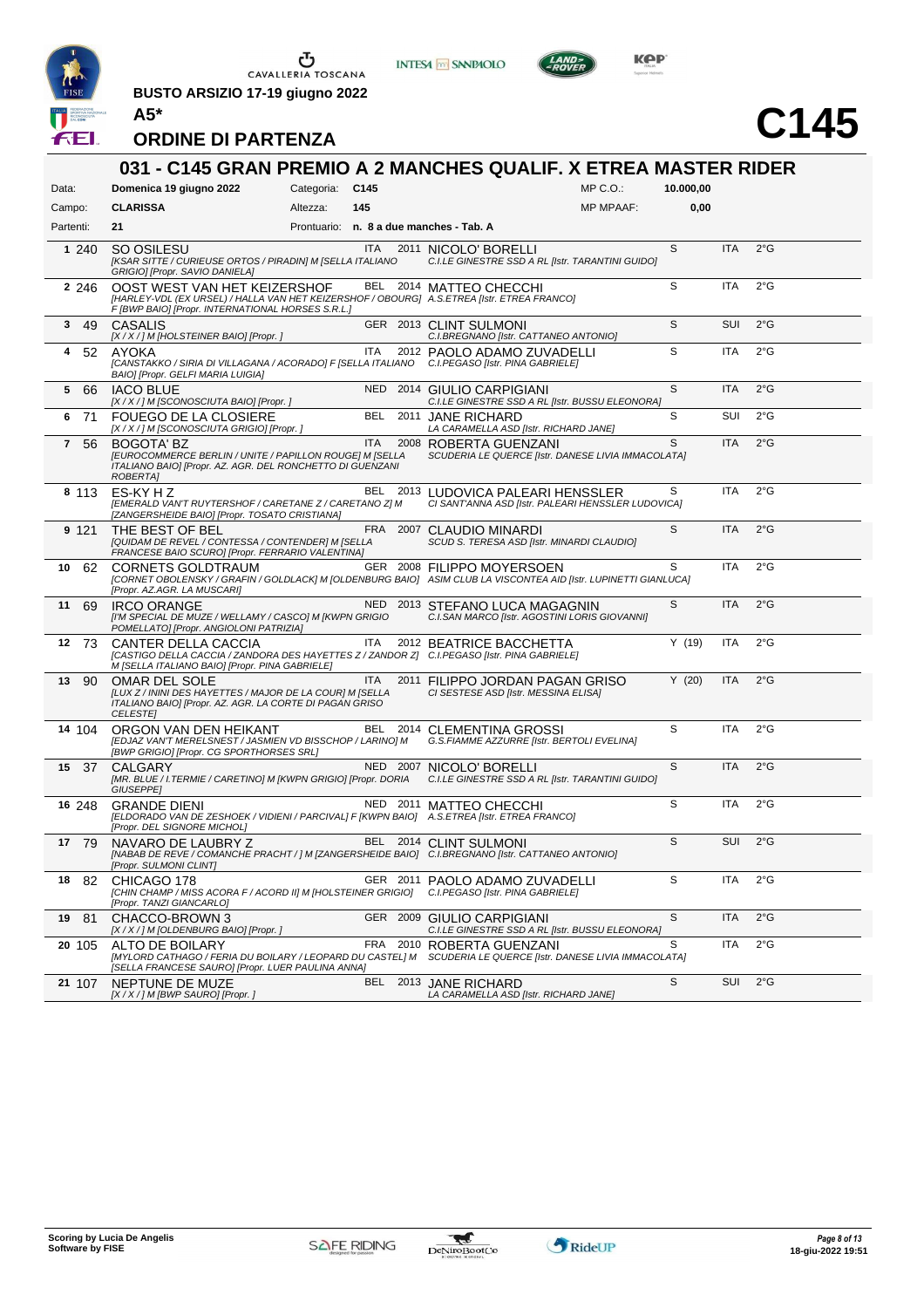

**BUSTO ARSIZIO 17-19 giugno 2022 A5\***







# **C145**

| Data:                         | Domenica 19 giugno 2022                                                                                                                                                         | Categoria: C145 |            | $MP C. O.$ :                                                                                                                                  | 10.000,00 |            |               |
|-------------------------------|---------------------------------------------------------------------------------------------------------------------------------------------------------------------------------|-----------------|------------|-----------------------------------------------------------------------------------------------------------------------------------------------|-----------|------------|---------------|
| Campo:                        | <b>CLARISSA</b>                                                                                                                                                                 | Altezza:        | 145        | <b>MP MPAAF:</b>                                                                                                                              | 0,00      |            |               |
| Partenti:                     | 21                                                                                                                                                                              |                 |            | Prontuario: n. 8 a due manches - Tab. A                                                                                                       |           |            |               |
| 1 240                         | SO OSILESU<br>[KSAR SITTE / CURIEUSE ORTOS / PIRADIN] M [SELLA ITALIANO<br>GRIGIO] [Propr. SAVIO DANIELA]                                                                       |                 | ITA.       | 2011 NICOLO' BORELLI<br>C.I.LE GINESTRE SSD A RL [Istr. TARANTINI GUIDO]                                                                      | S         | <b>ITA</b> | $2^{\circ}$ G |
| 2 2 4 6                       | OOST WEST VAN HET KEIZERSHOF<br>[HARLEY-VDL (EX URSEL) / HALLA VAN HET KEIZERSHOF / OBOURG] A.S.ETREA [Istr. ETREA FRANCO]<br>F [BWP BAIO] [Propr. INTERNATIONAL HORSES S.R.L.] |                 |            | BEL 2014 MATTEO CHECCHI                                                                                                                       | S         | ITA        | $2^{\circ}$ G |
| 3 49                          | CASALIS<br>[X / X / ] M [HOLSTEINER BAIO] [Propr.]                                                                                                                              |                 |            | GER 2013 CLINT SULMONI<br>C.I.BREGNANO [Istr. CATTANEO ANTONIO]                                                                               | S         | <b>SUI</b> | 2°G           |
| 52<br>4                       | <b>AYOKA</b><br>[CANSTAKKO / SIRIA DI VILLAGANA / ACORADO] F [SELLA ITALIANO C.I.PEGASO [Istr. PINA GABRIELE]<br>BAIO] [Propr. GELFI MARIA LUIGIA]                              |                 | <b>ITA</b> | 2012 PAOLO ADAMO ZUVADELLI                                                                                                                    | S         | <b>ITA</b> | $2^{\circ}$ G |
| 5<br>66                       | <b>IACO BLUE</b><br>[X / X / ] M [SCONOSCIUTA BAIO] [Propr. ]                                                                                                                   |                 |            | NED 2014 GIULIO CARPIGIANI<br>C.I.LE GINESTRE SSD A RL [Istr. BUSSU ELEONORA]                                                                 | S         | <b>ITA</b> | $2^{\circ}$ G |
| -71<br>6                      | FOUEGO DE LA CLOSIERE<br>[X / X / ] M [SCONOSCIUTA GRIGIO] [Propr. ]                                                                                                            |                 | BEL        | 2011 JANE RICHARD<br>LA CARAMELLA ASD [Istr. RICHARD JANE]                                                                                    | S         | SUI        | $2^{\circ}$ G |
| $\overline{\mathbf{r}}$<br>56 | <b>BOGOTA' BZ</b><br>[EUROCOMMERCE BERLIN / UNITE / PAPILLON ROUGE] M [SELLA<br>ITALIANO BAIO] [Propr. AZ. AGR. DEL RONCHETTO DI GUENZANI<br>ROBERTA]                           |                 | <b>ITA</b> | 2008 ROBERTA GUENZANI<br>SCUDERIA LE QUERCE [Istr. DANESE LIVIA IMMACOLATA]                                                                   | S         | <b>ITA</b> | $2^{\circ}$ G |
| 8 113                         | ES-KY H Z<br>[EMERALD VAN'T RUYTERSHOF / CARETANE Z / CARETANO Z] M<br>[ZANGERSHEIDE BAIO] [Propr. TOSATO CRISTIANA]                                                            |                 |            | BEL 2013 LUDOVICA PALEARI HENSSLER<br>CI SANT'ANNA ASD [Istr. PALEARI HENSSLER LUDOVICA]                                                      | S         | <b>ITA</b> | $2^{\circ}$ G |
| 9 121                         | THE BEST OF BEL<br>[QUIDAM DE REVEL / CONTESSA / CONTENDER] M [SELLA<br>FRANCESE BAIO SCURO] [Propr. FERRARIO VALENTINA]                                                        |                 | FRA 2007   | CLAUDIO MINARDI<br>SCUD S. TERESA ASD [Istr. MINARDI CLAUDIO]                                                                                 | S         | <b>ITA</b> | $2^{\circ}$ G |
| 10<br>62                      | CORNETS GOLDTRAUM<br>[Propr. AZ.AGR. LA MUSCARI]                                                                                                                                |                 |            | GER 2008 FILIPPO MOYERSOEN<br>[CORNET OBOLENSKY / GRAFIN / GOLDLACK] M [OLDENBURG BAIO] ASIM CLUB LA VISCONTEA AID [Istr. LUPINETTI GIANLUCA] | S         | <b>ITA</b> | $2^{\circ}$ G |
| 11<br>69                      | <b>IRCO ORANGE</b><br>[I'M SPECIAL DE MUZE / WELLAMY / CASCO] M [KWPN GRIGIO<br>POMELLATO] [Propr. ANGIOLONI PATRIZIA]                                                          |                 |            | NED 2013 STEFANO LUCA MAGAGNIN<br>C.I.SAN MARCO [Istr. AGOSTINI LORIS GIOVANNI]                                                               | S         | <b>ITA</b> | $2^{\circ}$ G |
| 12 73                         | CANTER DELLA CACCIA<br>[CASTIGO DELLA CACCIA / ZANDORA DES HAYETTES Z / ZANDOR Z] C.I.PEGASO [Istr. PINA GABRIELE]<br>M [SELLA ITALIANO BAIO] [Propr. PINA GABRIELE]            |                 | ITA        | 2012 BEATRICE BACCHETTA                                                                                                                       | Y(19)     | ITA        | $2^{\circ}$ G |
| - 90<br>13                    | OMAR DEL SOLE<br>[LUX Z / ININI DES HAYETTES / MAJOR DE LA COUR] M [SELLA<br>ITALIANO BAIO] [Propr. AZ. AGR. LA CORTE DI PAGAN GRISO<br><b>CELESTEI</b>                         |                 | ITA.       | 2011 FILIPPO JORDAN PAGAN GRISO<br>CI SESTESE ASD [Istr. MESSINA ELISA]                                                                       | Y(20)     | <b>ITA</b> | $2^{\circ}$ G |
| 14 104                        | ORGON VAN DEN HEIKANT<br>[EDJAZ VAN'T MERELSNEST / JASMIEN VD BISSCHOP / LARINO] M<br>[BWP GRIGIO] [Propr. CG SPORTHORSES SRL]                                                  |                 |            | BEL 2014 CLEMENTINA GROSSI<br>G.S.FIAMME AZZURRE [Istr. BERTOLI EVELINA]                                                                      | S         | <b>ITA</b> | $2^{\circ}$ G |
| 15 37                         | CALGARY<br>[MR. BLUE / I.TERMIE / CARETINO] M [KWPN GRIGIO] [Propr. DORIA<br>GIUSEPPE]                                                                                          |                 |            | NED 2007 NICOLO' BORELLI<br>C.I.LE GINESTRE SSD A RL [Istr. TARANTINI GUIDO]                                                                  | S         | <b>ITA</b> | 2°G           |
| 16 248                        | <b>GRANDE DIENI</b><br>[ELDORADO VAN DE ZESHOEK / VIDIENI / PARCIVAL] F [KWPN BAIO] A.S.ETREA [Istr. ETREA FRANCO]<br>[Propr. DEL SIGNORE MICHOL]                               |                 |            | NED 2011 MATTEO CHECCHI                                                                                                                       | S         | <b>ITA</b> | $2^{\circ}$ G |
| 17 79                         | NAVARO DE LAUBRY Z<br>[Propr. SULMONI CLINT]                                                                                                                                    |                 |            | BEL 2014 CLINT SULMONI<br>[NABAB DE REVE / COMANCHE PRACHT / ] M [ZANGERSHEIDE BAIO] C.I.BREGNANO [Istr. CATTANEO ANTONIO]                    | S         | <b>SUI</b> | $2^{\circ}$ G |
| 18 82                         | CHICAGO 178<br>[CHIN CHAMP / MISS ACORA F / ACORD II] M [HOLSTEINER GRIGIO]<br>[Propr. TANZI GIANCARLO]                                                                         |                 |            | GER 2011 PAOLO ADAMO ZUVADELLI<br>C.I.PEGASO [Istr. PINA GABRIELE]                                                                            | S         | <b>ITA</b> | $2^{\circ}$ G |
| 19 81                         | CHACCO-BROWN 3<br>[X / X / ] M [OLDENBURG BAIO] [Propr. ]                                                                                                                       |                 |            | GER 2009 GIULIO CARPIGIANI<br>C.I.LE GINESTRE SSD A RL [Istr. BUSSU ELEONORA]                                                                 | S         | <b>ITA</b> | $2^{\circ}$ G |
| 20 105                        | ALTO DE BOILARY<br>[MYLORD CATHAGO / FERIA DU BOILARY / LEOPARD DU CASTEL] M<br>[SELLA FRANCESE SAURO] [Propr. LUER PAULINA ANNA]                                               |                 | FRA        | 2010 ROBERTA GUENZANI<br>SCUDERIA LE QUERCE [Istr. DANESE LIVIA IMMACOLATA]                                                                   | S         | ITA        | $2^{\circ}$ G |
| 21 107                        | NEPTUNE DE MUZE<br>[X / X / ] M [BWP SAURO] [Propr. ]                                                                                                                           |                 |            | BEL 2013 JANE RICHARD<br>LA CARAMELLA ASD [Istr. RICHARD JANE]                                                                                | S         | SUI        | 2°G           |

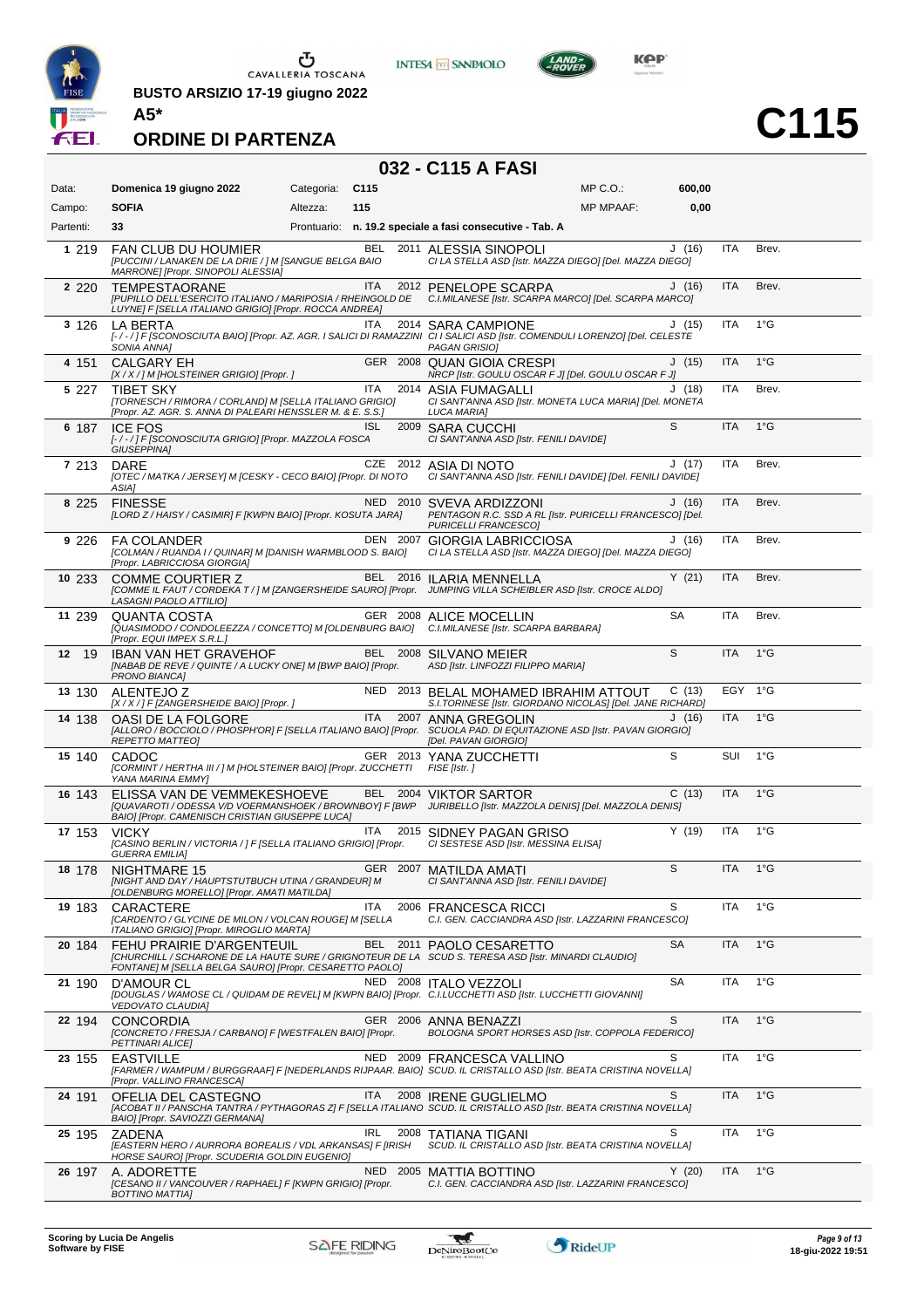

**BUSTO ARSIZIO 17-19 giugno 2022 A5\***



**C115**

#### **ORDINE DI PARTENZA**

### **032 - C115 A FASI**

**INTESA M** SANPAOLO

| Data:     | Domenica 19 giugno 2022                                                                                                                                                                             | Categoria: | C <sub>115</sub> |      |                                                                                                              | $MP C. O.$ :     | 600,00    |            |               |
|-----------|-----------------------------------------------------------------------------------------------------------------------------------------------------------------------------------------------------|------------|------------------|------|--------------------------------------------------------------------------------------------------------------|------------------|-----------|------------|---------------|
| Campo:    | <b>SOFIA</b>                                                                                                                                                                                        | Altezza:   | 115              |      |                                                                                                              | <b>MP MPAAF:</b> | 0,00      |            |               |
| Partenti: | 33                                                                                                                                                                                                  |            |                  |      | Prontuario: n. 19.2 speciale a fasi consecutive - Tab. A                                                     |                  |           |            |               |
| 1 2 1 9   | FAN CLUB DU HOUMIER<br>[PUCCINI / LANAKEN DE LA DRIE / ] M [SANGUE BELGA BAIO<br>MARRONE] [Propr. SINOPOLI ALESSIA]                                                                                 |            | BEL              |      | 2011 ALESSIA SINOPOLI<br>CI LA STELLA ASD [Istr. MAZZA DIEGO] [Del. MAZZA DIEGO]                             |                  | J(16)     | <b>ITA</b> | Brev.         |
| 2 2 2 0   | <b>TEMPESTAORANE</b><br>[PUPILLO DELL'ESERCITO ITALIANO / MARIPOSIA / RHEINGOLD DE<br>LUYNEJ F [SELLA ITALIANO GRIGIO] [Propr. ROCCA ANDREA]                                                        |            | <b>ITA</b>       |      | 2012 PENELOPE SCARPA<br>C.I.MILANESE [Istr. SCARPA MARCO] [Del. SCARPA MARCO]                                |                  | J(16)     | <b>ITA</b> | Brev.         |
| 3 126     | LA BERTA<br>[-/-/] F [SCONOSCIUTA BAIO] [Propr. AZ. AGR. I SALICI DI RAMAZZINI CI I SALICI ASD [Istr. COMENDULI LORENZO] [Del. CELESTE<br>SONIA ANNA]                                               |            | ITA              |      | 2014 SARA CAMPIONE<br>PAGAN GRISIOI                                                                          |                  | J(15)     | <b>ITA</b> | $1^{\circ}$ G |
| 4 151     | <b>CALGARY EH</b><br>[X / X / ] M [HOLSTEINER GRIGIO] [Propr. ]                                                                                                                                     |            |                  |      | GER 2008 QUAN GIOIA CRESPI<br>NRCP [Istr. GOULU OSCAR F J] [Del. GOULU OSCAR F J]                            |                  | J(15)     | <b>ITA</b> | $1^{\circ}$ G |
| 5 227     | <b>TIBET SKY</b><br>[TORNESCH / RIMORA / CORLAND] M [SELLA ITALIANO GRIGIO]<br>[Propr. AZ. AGR. S. ANNA DI PALEARI HENSSLER M. & E. S.S.]                                                           |            | ITA              | 2014 | ASIA FUMAGALLI<br>CI SANT'ANNA ASD [Istr. MONETA LUCA MARIA] [Del. MONETA<br><b>LUCA MARIA1</b>              |                  | J(18)     | ITA        | Brev.         |
| 6 187     | <b>ICE FOS</b><br>[-/-/] F [SCONOSCIUTA GRIGIO] [Propr. MAZZOLA FOSCA<br>GIUSEPPINA]                                                                                                                |            | ISL              |      | 2009 SARA CUCCHI<br>CI SANT'ANNA ASD [Istr. FENILI DAVIDE]                                                   |                  | S         | <b>ITA</b> | $1^{\circ}$ G |
| 7 213     | DARE<br>[OTEC / MATKA / JERSEY] M [CESKY - CECO BAIO] [Propr. DI NOTO<br>ASIA]                                                                                                                      |            |                  |      | CZE 2012 ASIA DI NOTO<br>CI SANT'ANNA ASD [Istr. FENILI DAVIDE] [Del. FENILI DAVIDE]                         |                  | J(17)     | ITA        | Brev.         |
| 8 2 2 5   | <b>FINESSE</b><br>[LORD Z / HAISY / CASIMIR] F [KWPN BAIO] [Propr. KOSUTA JARA]                                                                                                                     |            |                  |      | NED 2010 SVEVA ARDIZZONI<br>PENTAGON R.C. SSD A RL [Istr. PURICELLI FRANCESCO] [Del.<br>PURICELLI FRANCESCO] |                  | J(16)     | <b>ITA</b> | Brev.         |
| 9 2 2 6   | <b>FA COLANDER</b><br>[COLMAN / RUANDA I / QUINAR] M [DANISH WARMBLOOD S. BAIO]<br>[Propr. LABRICCIOSA GIORGIA]                                                                                     |            |                  |      | DEN 2007 GIORGIA LABRICCIOSA<br>CI LA STELLA ASD [Istr. MAZZA DIEGO] [Del. MAZZA DIEGO]                      |                  | J(16)     | ITA        | Brev.         |
| 10 233    | COMME COURTIER Z<br>[COMME IL FAUT / CORDEKA T / ] M [ZANGERSHEIDE SAURO] [Propr. JUMPING VILLA SCHEIBLER ASD [Istr. CROCE ALDO]<br>LASAGNI PAOLO ATTILIO]                                          |            |                  |      | BEL 2016 ILARIA MENNELLA                                                                                     |                  | Y(21)     | <b>ITA</b> | Brev.         |
| 11 239    | QUANTA COSTA<br>[QUASIMODO / CONDOLEEZZA / CONCETTO] M [OLDENBURG BAIO] C.I.MILANESE [Istr. SCARPA BARBARA]<br>[Propr. EQUI IMPEX S.R.L.]                                                           |            |                  |      | GER 2008 ALICE MOCELLIN                                                                                      |                  | <b>SA</b> | <b>ITA</b> | Brev.         |
| 12 19     | <b>IBAN VAN HET GRAVEHOF</b><br>[NABAB DE REVE / QUINTE / A LUCKY ONE] M [BWP BAIO] [Propr.<br>PRONO BIANCA]                                                                                        |            |                  |      | BEL 2008 SILVANO MEIER<br>ASD [Istr. LINFOZZI FILIPPO MARIA]                                                 |                  | S         | <b>ITA</b> | $1^{\circ}$ G |
| 13 130    | ALENTEJO Z<br>[X / X / ] F [ZANGERSHEIDE BAIO] [Propr. ]                                                                                                                                            |            |                  |      | NED 2013 BELAL MOHAMED IBRAHIM ATTOUT<br>S.I.TORINESE [Istr. GIORDANO NICOLAS] [Del. JANE RICHARD]           |                  | C(13)     | EGY 1°G    |               |
| 14 138    | OASI DE LA FOLGORE<br>[ALLORO / BOCCIOLO / PHOSPH'OR] F [SELLA ITALIANO BAIO] [Propr. SCUOLA PAD. DI EQUITAZIONE ASD [Istr. PAVAN GIORGIO]<br><b>REPETTO MATTEO]</b>                                |            | <b>ITA</b>       |      | 2007 ANNA GREGOLIN<br>[Del. PAVAN GIORGIO]                                                                   |                  | J(16)     | <b>ITA</b> | $1^{\circ}$ G |
| 15 140    | CADOC<br>[CORMINT / HERTHA III / ] M [HOLSTEINER BAIO] [Propr. ZUCCHETTI FISE [Istr. ]<br>YANA MARINA EMMY]                                                                                         |            |                  |      | GER 2013 YANA ZUCCHETTI                                                                                      |                  | S         | <b>SUI</b> | $1^{\circ}$ G |
| 16 143    | ELISSA VAN DE VEMMEKESHOEVE<br>[QUAVAROTI / ODESSA V/D VOERMANSHOEK / BROWNBOY] F [BWP JURIBELLO [Istr. MAZZOLA DENIS] [Del. MAZZOLA DENIS]<br>BAIO] [Propr. CAMENISCH CRISTIAN GIUSEPPE LUCA]      |            |                  |      | BEL 2004 VIKTOR SARTOR                                                                                       |                  | C(13)     | <b>ITA</b> | $1^{\circ}$ G |
| 17 153    | <b>VICKY</b><br>[CASINO BERLIN / VICTORIA / ] F [SELLA ITALIANO GRIGIO] [Propr.<br><b>GUERRA EMILIA1</b>                                                                                            |            | ITA              |      | 2015 SIDNEY PAGAN GRISO<br>CI SESTESE ASD [Istr. MESSINA ELISA]                                              |                  | Y(19)     | ITA        | $1^{\circ}$ G |
| 18 178    | <b>NIGHTMARE 15</b><br>[NIGHT AND DAY / HAUPTSTUTBUCH UTINA / GRANDEUR] M<br>[OLDENBURG MORELLO] [Propr. AMATI MATILDA]                                                                             |            |                  |      | GER 2007 MATILDA AMATI<br>CI SANT'ANNA ASD [Istr. FENILI DAVIDE]                                             |                  | S         | <b>ITA</b> | $1^{\circ}$ G |
| 19 183    | <b>CARACTERE</b><br>[CARDENTO / GLYCINE DE MILON / VOLCAN ROUGE] M [SELLA<br>ITALIANO GRIGIO] [Propr. MIROGLIO MARTA]                                                                               |            | <b>ITA</b>       |      | 2006 FRANCESCA RICCI<br>C.I. GEN. CACCIANDRA ASD [Istr. LAZZARINI FRANCESCO]                                 |                  | S         | ITA        | $1^{\circ}$ G |
| 20 184    | <b>FEHU PRAIRIE D'ARGENTEUIL</b><br>[CHURCHILL / SCHARONE DE LA HAUTE SURE / GRIGNOTEUR DE LA SCUD S. TERESA ASD [Istr. MINARDI CLAUDIO]<br>FONTANEJ M [SELLA BELGA SAURO] [Propr. CESARETTO PAOLO] |            |                  |      | BEL 2011 PAOLO CESARETTO                                                                                     |                  | <b>SA</b> | <b>ITA</b> | $1^{\circ}$ G |
| 21 190    | D'AMOUR CL<br>[DOUGLAS / WAMOSE CL / QUIDAM DE REVEL] M [KWPN BAIO] [Propr. C.I.LUCCHETTI ASD [Istr. LUCCHETTI GIOVANNI]<br><b>VEDOVATO CLAUDIA]</b>                                                |            |                  |      | NED 2008 ITALO VEZZOLI                                                                                       |                  | <b>SA</b> | ITA        | $1^{\circ}$ G |
| 22 194    | <b>CONCORDIA</b><br>[CONCRETO / FRESJA / CARBANO] F [WESTFALEN BAIO] [Propr.<br>PETTINARI ALICEJ                                                                                                    |            |                  |      | GER 2006 ANNA BENAZZI<br>BOLOGNA SPORT HORSES ASD [Istr. COPPOLA FEDERICO]                                   |                  | S         | <b>ITA</b> | $1^{\circ}$ G |
| 23 155    | <b>EASTVILLE</b><br>[FARMER / WAMPUM / BURGGRAAF] F [NEDERLANDS RIJPAAR. BAIO] SCUD. IL CRISTALLO ASD [Istr. BEATA CRISTINA NOVELLA]<br>[Propr. VALLINO FRANCESCA]                                  |            |                  |      | NED 2009 FRANCESCA VALLINO                                                                                   |                  | S         | ITA        | $1^{\circ}$ G |
| 24 191    | OFELIA DEL CASTEGNO<br>[ACOBAT II / PANSCHA TANTRA / PYTHAGORAS Z] F [SELLA ITALIANO SCUD. IL CRISTALLO ASD [Istr. BEATA CRISTINA NOVELLA]<br>BAIO] [Propr. SAVIOZZI GERMANA]                       |            | <b>ITA</b>       |      | 2008 IRENE GUGLIELMO                                                                                         |                  | S         | <b>ITA</b> | $1^{\circ}$ G |
| 25 195    | <b>ZADENA</b><br>[EASTERN HERO / AURRORA BOREALIS / VDL ARKANSAS] F [IRISH<br>HORSE SAURO] [Propr. SCUDERIA GOLDIN EUGENIO]                                                                         |            | IRL              |      | 2008 TATIANA TIGANI<br>SCUD. IL CRISTALLO ASD [Istr. BEATA CRISTINA NOVELLA]                                 |                  | S         | ITA        | $1^{\circ}$ G |
| 26 197    | A. ADORETTE<br>[CESANO II / VANCOUVER / RAPHAEL] F [KWPN GRIGIO] [Propr.<br><b>BOTTINO MATTIA]</b>                                                                                                  |            |                  |      | NED 2005 MATTIA BOTTINO<br>C.I. GEN. CACCIANDRA ASD [Istr. LAZZARINI FRANCESCO]                              |                  | Y(20)     | ITA        | $1^{\circ}$ G |

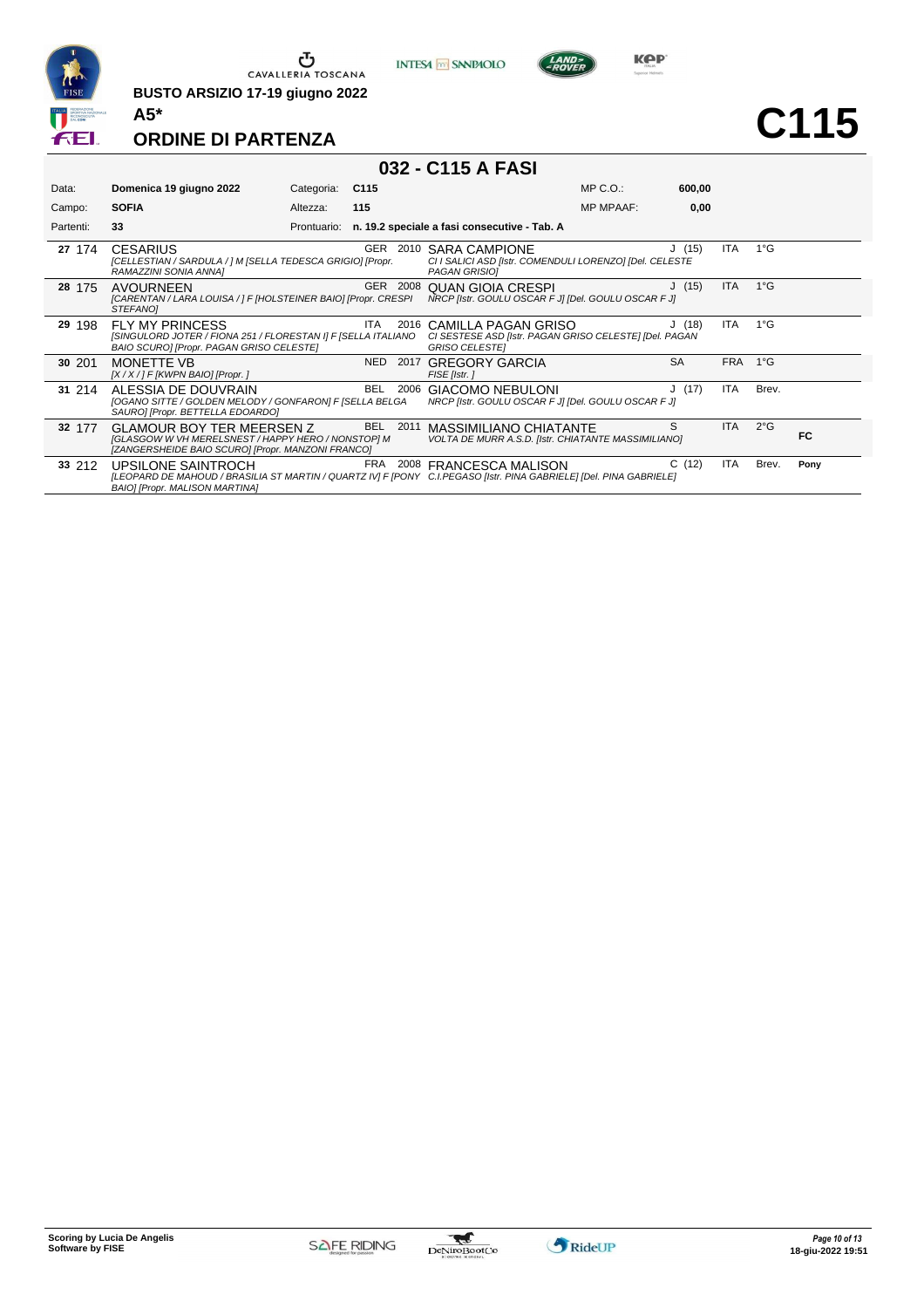

**BUSTO ARSIZIO 17-19 giugno 2022 A5\***





**ORDINE DI PARTENZA**

### **032 - C115 A FASI**

| Data:     | Domenica 19 giugno 2022                                                                                                                                                    | Categoria:  | C <sub>115</sub>   |                                                                                                        | $MP C. O.$ :     | 600,00    |            |               |      |
|-----------|----------------------------------------------------------------------------------------------------------------------------------------------------------------------------|-------------|--------------------|--------------------------------------------------------------------------------------------------------|------------------|-----------|------------|---------------|------|
| Campo:    | <b>SOFIA</b>                                                                                                                                                               | Altezza:    | 115                |                                                                                                        | <b>MP MPAAF:</b> | 0,00      |            |               |      |
| Partenti: | 33                                                                                                                                                                         | Prontuario: |                    | n. 19.2 speciale a fasi consecutive - Tab. A                                                           |                  |           |            |               |      |
| 27 174    | <b>CESARIUS</b><br>[CELLESTIAN / SARDULA / ] M [SELLA TEDESCA GRIGIO] [Propr.<br>RAMAZZINI SONIA ANNA]                                                                     |             | GER<br>2010        | <b>SARA CAMPIONE</b><br>CI I SALICI ASD [Istr. COMENDULI LORENZO] [Del. CELESTE<br>PAGAN GRISIOI       |                  | J(15)     | <b>ITA</b> | $1^{\circ}$ G |      |
| 28 175    | <b>AVOURNEEN</b><br>[CARENTAN / LARA LOUISA / ] F [HOLSTEINER BAIO] [Propr. CRESPI<br>STEFANOI                                                                             |             | GER 2008           | QUAN GIOIA CRESPI<br>NRCP [Istr. GOULU OSCAR F J] [Del. GOULU OSCAR F J]                               |                  | J(15)     | ITA        | $1^{\circ}$ G |      |
| 29 198    | <b>FLY MY PRINCESS</b><br>[SINGULORD JOTER / FIONA 251 / FLORESTAN I] F [SELLA ITALIANO<br>BAIO SCURO] [Propr. PAGAN GRISO CELESTE]                                        |             | <b>ITA</b><br>2016 | CAMILLA PAGAN GRISO<br>CI SESTESE ASD [Istr. PAGAN GRISO CELESTE] [Del. PAGAN<br><b>GRISO CELESTEI</b> |                  | J(18)     | <b>ITA</b> | $1^{\circ}$ G |      |
| 30 201    | <b>MONETTE VB</b><br>$[X/X$ / ] F [KWPN BAIO] [Propr. ]                                                                                                                    |             | NED<br>2017        | <b>GREGORY GARCIA</b><br>FISE [Istr.]                                                                  |                  | <b>SA</b> | <b>FRA</b> | $1^{\circ}G$  |      |
| 31 214    | ALESSIA DE DOUVRAIN<br>[OGANO SITTE / GOLDEN MELODY / GONFARON] F [SELLA BELGA<br>SAURO] [Propr. BETTELLA EDOARDO]                                                         |             | <b>BEL</b><br>2006 | GIACOMO NEBULONI<br>NRCP [Istr. GOULU OSCAR F J] [Del. GOULU OSCAR F J]                                |                  | J(17)     | ITA        | Brev.         |      |
| 32 177    | <b>GLAMOUR BOY TER MEERSEN Z</b><br><b>[GLASGOW W VH MERELSNEST / HAPPY HERO / NONSTOP] M</b><br>[ZANGERSHEIDE BAIO SCURO] [Propr. MANZONI FRANCO]                         |             | BEL<br>2011        | <b>MASSIMILIANO CHIATANTE</b><br>VOLTA DE MURR A.S.D. [Istr. CHIATANTE MASSIMILIANO]                   |                  | S         | <b>ITA</b> | $2^{\circ}$ G | FC.  |
| 33 212    | UPSILONE SAINTROCH<br>[LEOPARD DE MAHOUD / BRASILIA ST MARTIN / QUARTZ IV] F [PONY C.I.PEGASO [Istr. PINA GABRIELE] [Del. PINA GABRIELE]<br>BAIO] [Propr. MALISON MARTINA] |             | FRA                | 2008 FRANCESCA MALISON                                                                                 |                  | C(12)     | ITA        | Brev.         | Pony |

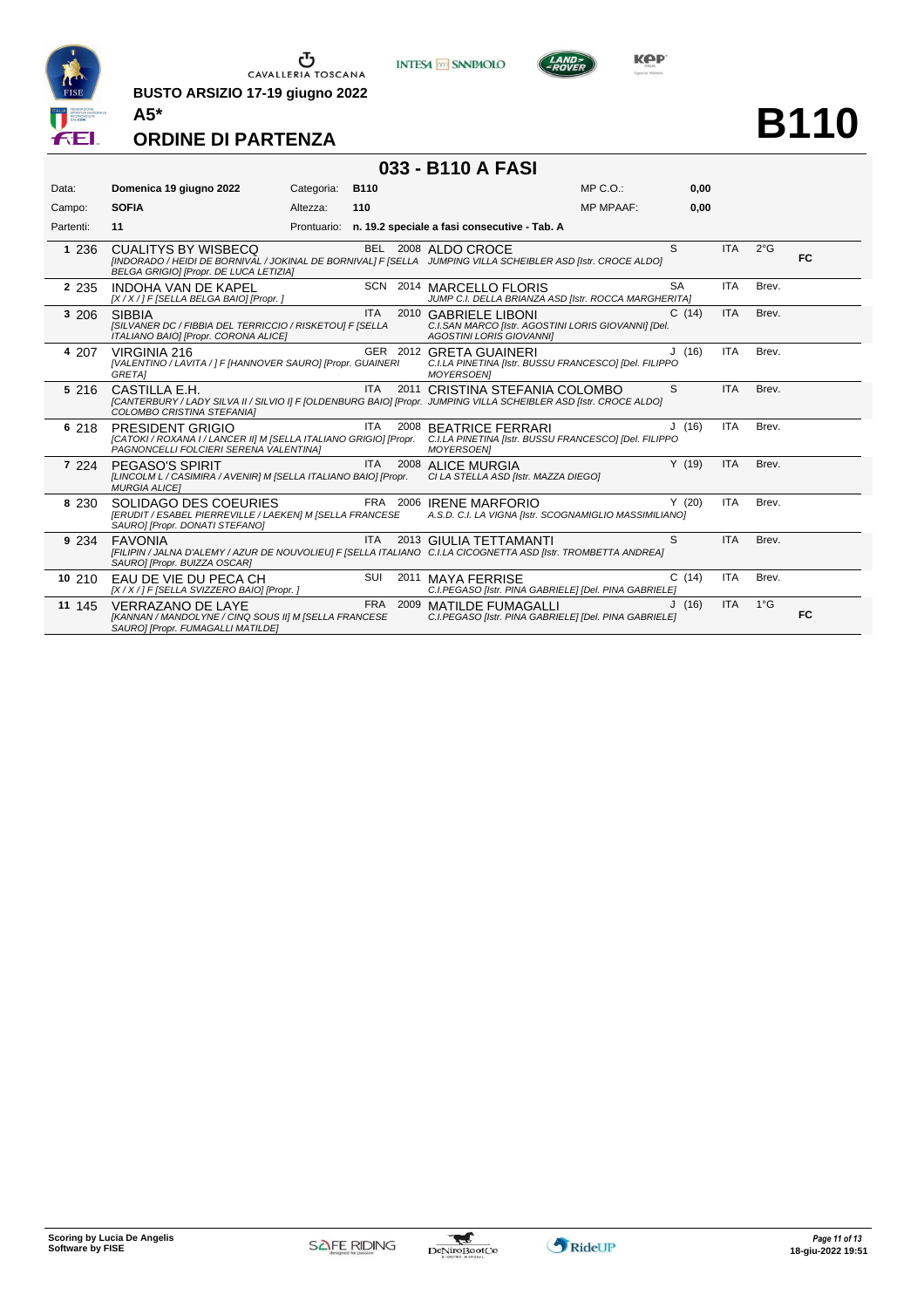

**BUSTO ARSIZIO 17-19 giugno 2022 A5\***





**B110**

#### **ORDINE DI PARTENZA**

### **033 - B110 A FASI**

| Data:     | Domenica 19 giugno 2022                                                                                                                                                              | Categoria:  | <b>B110</b> |      |                                                                                                                | $MP C. O.$ :     | 0,00      |            |               |    |
|-----------|--------------------------------------------------------------------------------------------------------------------------------------------------------------------------------------|-------------|-------------|------|----------------------------------------------------------------------------------------------------------------|------------------|-----------|------------|---------------|----|
| Campo:    | <b>SOFIA</b>                                                                                                                                                                         | Altezza:    | 110         |      |                                                                                                                | <b>MP MPAAF:</b> | 0,00      |            |               |    |
| Partenti: | 11                                                                                                                                                                                   | Prontuario: |             |      | n. 19.2 speciale a fasi consecutive - Tab. A                                                                   |                  |           |            |               |    |
| 1 236     | <b>CUALITYS BY WISBECQ</b><br>[INDORADO / HEIDI DE BORNIVAL / JOKINAL DE BORNIVAL] F [SELLA JUMPING VILLA SCHEIBLER ASD [Istr. CROCE ALDO]<br>BELGA GRIGIO] [Propr. DE LUCA LETIZIA] |             |             |      | BEL 2008 ALDO CROCE                                                                                            |                  | S         | <b>ITA</b> | $2^{\circ}$ G | FC |
| 2 2 3 5   | <b>INDOHA VAN DE KAPEL</b><br>[X / X / ] F [SELLA BELGA BAIO] [Propr. ]                                                                                                              |             |             |      | SCN 2014 MARCELLO FLORIS<br>JUMP C.I. DELLA BRIANZA ASD [Istr. ROCCA MARGHERITA]                               |                  | <b>SA</b> | <b>ITA</b> | Brev.         |    |
| 3 206     | <b>SIBBIA</b><br>[SILVANER DC / FIBBIA DEL TERRICCIO / RISKETOU] F [SELLA<br>ITALIANO BAIO] [Propr. CORONA ALICE]                                                                    |             | <b>ITA</b>  |      | 2010 GABRIELE LIBONI<br>C.I.SAN MARCO [Istr. AGOSTINI LORIS GIOVANNI] [Del.<br><b>AGOSTINI LORIS GIOVANNII</b> |                  | C(14)     | <b>ITA</b> | Brev.         |    |
| 4 207     | VIRGINIA 216<br>[VALENTINO / LAVITA / ] F [HANNOVER SAURO] [Propr. GUAINERI<br><b>GRETAI</b>                                                                                         |             |             |      | GER 2012 GRETA GUAINERI<br>C.I.LA PINETINA [Istr. BUSSU FRANCESCO] [Del. FILIPPO<br><b>MOYERSOEN1</b>          |                  | J(16)     | <b>ITA</b> | Brev.         |    |
| 5 216     | CASTILLA F.H.<br>[CANTERBURY / LADY SILVA II / SILVIO I] F [OLDENBURG BAIO] [Propr. JUMPING VILLA SCHEIBLER ASD [Istr. CROCE ALDO]<br>COLOMBO CRISTINA STEFANIAI                     |             | <b>ITA</b>  | 2011 | CRISTINA STEFANIA COLOMBO                                                                                      |                  | S         | <b>ITA</b> | Brev.         |    |
| 6 218     | PRESIDENT GRIGIO<br>[CATOKI / ROXANA I / LANCER II] M [SELLA ITALIANO GRIGIO] [Propr.<br>PAGNONCELLI FOLCIERI SERENA VALENTINA]                                                      |             | ITA         |      | 2008 BEATRICE FERRARI<br>C.I.LA PINETINA [Istr. BUSSU FRANCESCO] [Del. FILIPPO<br><b>MOYERSOEN1</b>            |                  | J(16)     | <b>ITA</b> | Brev.         |    |
| 7 2 2 4   | PEGASO'S SPIRIT<br>[LINCOLM L / CASIMIRA / AVENIR] M [SELLA ITALIANO BAIO] [Propr.<br><b>MURGIA ALICEI</b>                                                                           |             | <b>ITA</b>  |      | 2008 ALICE MURGIA<br>CI LA STELLA ASD [Istr. MAZZA DIEGO]                                                      |                  | Y(19)     | <b>ITA</b> | Brev.         |    |
| 8 2 3 0   | SOLIDAGO DES COEURIES<br>[ERUDIT / ESABEL PIERREVILLE / LAEKEN] M [SELLA FRANCESE<br>SAURO] [Propr. DONATI STEFANO]                                                                  |             |             |      | FRA 2006 IRENE MARFORIO<br>A.S.D. C.I. LA VIGNA [Istr. SCOGNAMIGLIO MASSIMILIANO]                              |                  | Y(20)     | <b>ITA</b> | Brev.         |    |
| 9 2 3 4   | <b>FAVONIA</b><br>[FILIPIN / JALNA D'ALEMY / AZUR DE NOUVOLIEU] F [SELLA ITALIANO C.I.LA CICOGNETTA ASD [Istr. TROMBETTA ANDREA]<br>SAURO] [Propr. BUIZZA OSCAR]                     |             | ITA.        |      | 2013 GIULIA TETTAMANTI                                                                                         |                  | S         | <b>ITA</b> | Brev.         |    |
| 10 210    | EAU DE VIE DU PECA CH<br>[X / X / ] F [SELLA SVIZZERO BAIO] [Propr. ]                                                                                                                |             | SUI         |      | 2011 MAYA FERRISE<br>C.I.PEGASO [Istr. PINA GABRIELE] [Del. PINA GABRIELE]                                     |                  | C(14)     | <b>ITA</b> | Brev.         |    |
| 11 145    | <b>VERRAZANO DE LAYE</b><br>[KANNAN / MANDOLYNE / CINQ SOUS II] M [SELLA FRANCESE<br>SAURO] [Propr. FUMAGALLI MATILDE]                                                               |             | FRA 2009    |      | MATILDE FUMAGALLI<br>C.I.PEGASO [Istr. PINA GABRIELE] [Del. PINA GABRIELE]                                     |                  | J(16)     | <b>ITA</b> | $1^{\circ}$ G | FC |

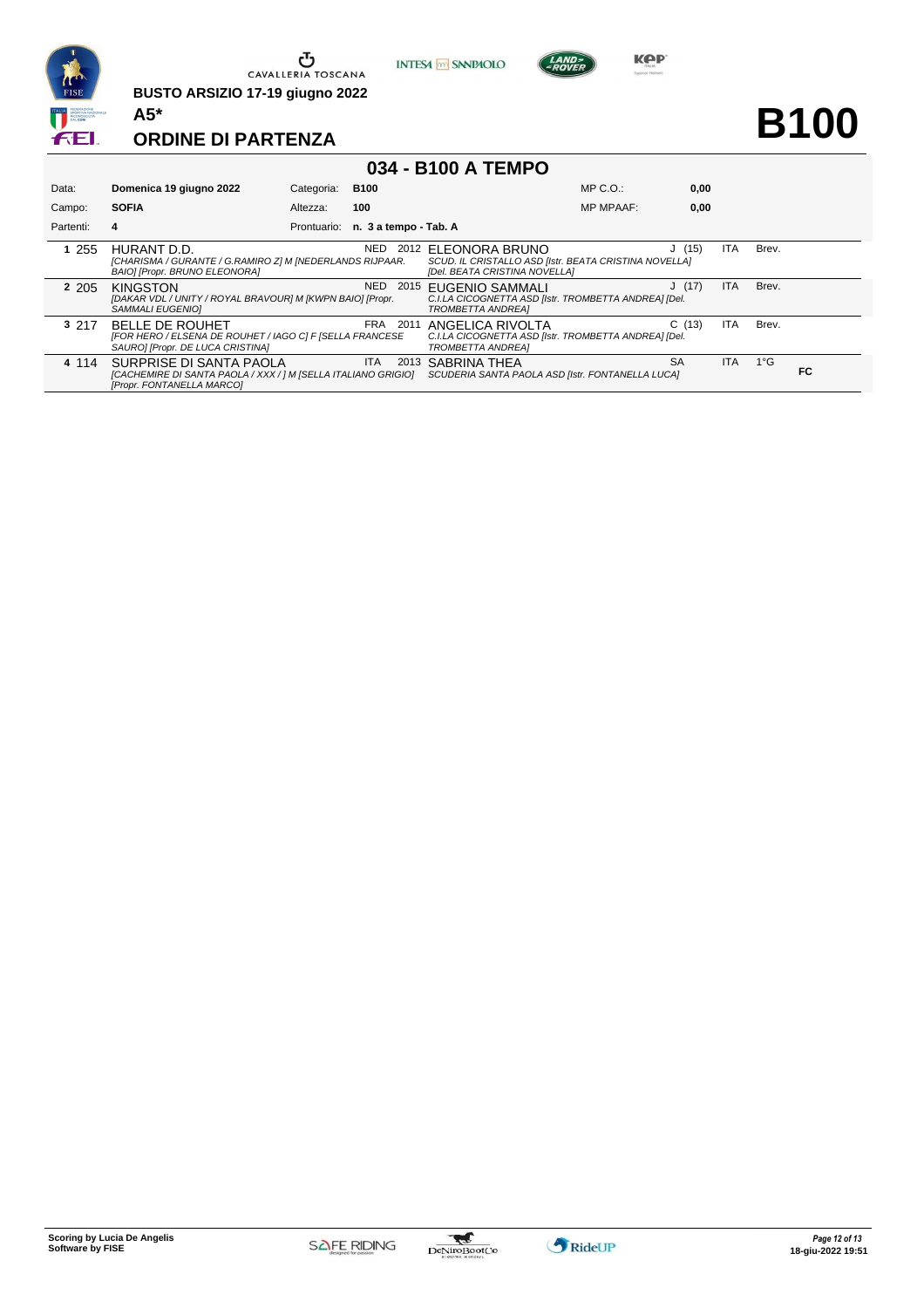

**BUSTO ARSIZIO 17-19 giugno 2022 A5\***





**B100**

#### **ORDINE DI PARTENZA**

#### **034 - B100 A TEMPO**

| Data:     | Domenica 19 giugno 2022                                                                                                | Categoria: | <b>B100</b>                       |                                                                                                               | $MP C. O.$ :     | 0,00  |            |               |    |
|-----------|------------------------------------------------------------------------------------------------------------------------|------------|-----------------------------------|---------------------------------------------------------------------------------------------------------------|------------------|-------|------------|---------------|----|
| Campo:    | <b>SOFIA</b>                                                                                                           | Altezza:   | 100                               |                                                                                                               | <b>MP MPAAF:</b> | 0,00  |            |               |    |
| Partenti: | 4                                                                                                                      |            | Prontuario: n. 3 a tempo - Tab. A |                                                                                                               |                  |       |            |               |    |
| 255       | HURANT D.D.<br>[CHARISMA / GURANTE / G.RAMIRO Z] M [NEDERLANDS RIJPAAR.<br>BAIO] [Propr. BRUNO ELEONORA]               |            | NED                               | 2012 ELEONORA BRUNO<br>SCUD. IL CRISTALLO ASD [Istr. BEATA CRISTINA NOVELLA]<br>[Del. BEATA CRISTINA NOVELLA] |                  | J(15) | <b>ITA</b> | Brev.         |    |
| 2 2 0 5   | <b>KINGSTON</b><br>[DAKAR VDL / UNITY / ROYAL BRAVOUR] M [KWPN BAIO] [Propr.<br>SAMMALI EUGENIOI                       |            | NED<br>2015                       | <b>EUGENIO SAMMALI</b><br>C.I.LA CICOGNETTA ASD [Istr. TROMBETTA ANDREA] [Del.<br><b>TROMBETTA ANDREAI</b>    |                  | J(17) | <b>ITA</b> | Brev.         |    |
| 3 217     | <b>BELLE DE ROUHET</b><br>[FOR HERO / ELSENA DE ROUHET / IAGO C] F [SELLA FRANCESE<br>SAURO] [Propr. DE LUCA CRISTINA] |            | <b>FRA</b><br>2011                | ANGELICA RIVOLTA<br>C.I.LA CICOGNETTA ASD [Istr. TROMBETTA ANDREA] [Del.<br><b>TROMBETTA ANDREAI</b>          |                  | C(13) | <b>ITA</b> | Brev.         |    |
| 4 1 1 4   | SURPRISE DI SANTA PAOLA<br>[CACHEMIRE DI SANTA PAOLA / XXX / ] M [SELLA ITALIANO GRIGIO]<br>[Propr. FONTANELLA MARCO]  |            | ITA.<br>2013                      | <b>SABRINA THEA</b><br>SCUDERIA SANTA PAOLA ASD [Istr. FONTANELLA LUCA]                                       | <b>SA</b>        |       | <b>ITA</b> | $1^{\circ}$ G | FC |